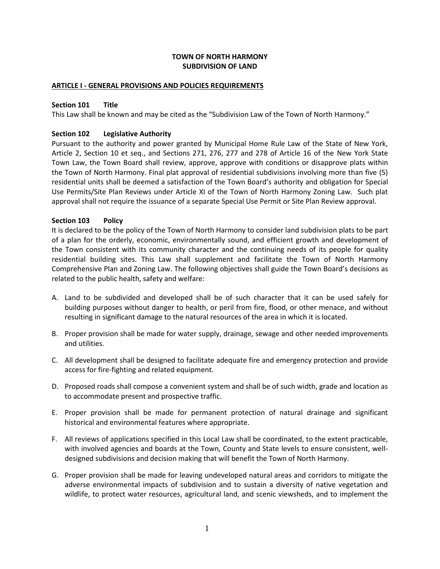## **TOWN OF NORTH HARMONY SUBDIVISION OF LAND**

#### **ARTICLE I - GENERAL PROVISIONS AND POLICIES REQUIREMENTS**

#### **Section 101 Title**

This Law shall be known and may be cited as the "Subdivision Law of the Town of North Harmony."

#### **Section 102 Legislative Authority**

Pursuant to the authority and power granted by Municipal Home Rule Law of the State of New York, Article 2, Section 10 et seq., and Sections 271, 276, 277 and 278 of Article 16 of the New York State Town Law, the Town Board shall review, approve, approve with conditions or disapprove plats within the Town of North Harmony. Final plat approval of residential subdivisions involving more than five (5) residential units shall be deemed a satisfaction of the Town Board's authority and obligation for Special Use Permits/Site Plan Reviews under Article XI of the Town of North Harmony Zoning Law. Such plat approval shall not require the issuance of a separate Special Use Permit or Site Plan Review approval.

#### **Section 103 Policy**

It is declared to be the policy of the Town of North Harmony to consider land subdivision plats to be part of a plan for the orderly, economic, environmentally sound, and efficient growth and development of the Town consistent with its community character and the continuing needs of its people for quality residential building sites. This Law shall supplement and facilitate the Town of North Harmony Comprehensive Plan and Zoning Law. The following objectives shall guide the Town Board's decisions as related to the public health, safety and welfare:

- A. Land to be subdivided and developed shall be of such character that it can be used safely for building purposes without danger to health, or peril from fire, flood, or other menace, and without resulting in significant damage to the natural resources of the area in which it is located.
- B. Proper provision shall be made for water supply, drainage, sewage and other needed improvements and utilities.
- C. All development shall be designed to facilitate adequate fire and emergency protection and provide access for fire-fighting and related equipment.
- D. Proposed roads shall compose a convenient system and shall be of such width, grade and location as to accommodate present and prospective traffic.
- E. Proper provision shall be made for permanent protection of natural drainage and significant historical and environmental features where appropriate.
- F. All reviews of applications specified in this Local Law shall be coordinated, to the extent practicable, with involved agencies and boards at the Town, County and State levels to ensure consistent, welldesigned subdivisions and decision making that will benefit the Town of North Harmony.
- G. Proper provision shall be made for leaving undeveloped natural areas and corridors to mitigate the adverse environmental impacts of subdivision and to sustain a diversity of native vegetation and wildlife, to protect water resources, agricultural land, and scenic viewsheds, and to implement the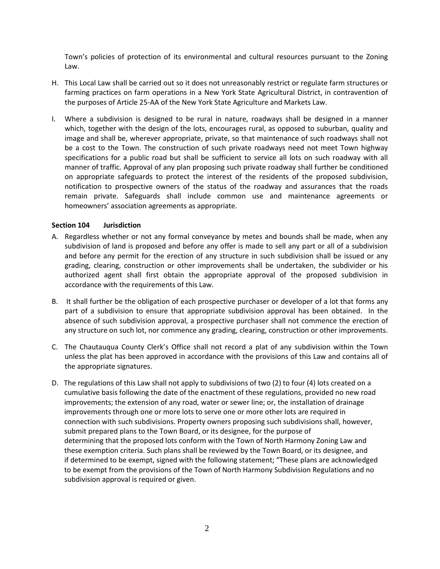Town's policies of protection of its environmental and cultural resources pursuant to the Zoning Law.

- H. This Local Law shall be carried out so it does not unreasonably restrict or regulate farm structures or farming practices on farm operations in a New York State Agricultural District, in contravention of the purposes of Article 25-AA of the New York State Agriculture and Markets Law.
- I. Where a subdivision is designed to be rural in nature, roadways shall be designed in a manner which, together with the design of the lots, encourages rural, as opposed to suburban, quality and image and shall be, wherever appropriate, private, so that maintenance of such roadways shall not be a cost to the Town. The construction of such private roadways need not meet Town highway specifications for a public road but shall be sufficient to service all lots on such roadway with all manner of traffic. Approval of any plan proposing such private roadway shall further be conditioned on appropriate safeguards to protect the interest of the residents of the proposed subdivision, notification to prospective owners of the status of the roadway and assurances that the roads remain private. Safeguards shall include common use and maintenance agreements or homeowners' association agreements as appropriate.

## **Section 104 Jurisdiction**

- A. Regardless whether or not any formal conveyance by metes and bounds shall be made, when any subdivision of land is proposed and before any offer is made to sell any part or all of a subdivision and before any permit for the erection of any structure in such subdivision shall be issued or any grading, clearing, construction or other improvements shall be undertaken, the subdivider or his authorized agent shall first obtain the appropriate approval of the proposed subdivision in accordance with the requirements of this Law.
- B. It shall further be the obligation of each prospective purchaser or developer of a lot that forms any part of a subdivision to ensure that appropriate subdivision approval has been obtained. In the absence of such subdivision approval, a prospective purchaser shall not commence the erection of any structure on such lot, nor commence any grading, clearing, construction or other improvements.
- C. The Chautauqua County Clerk's Office shall not record a plat of any subdivision within the Town unless the plat has been approved in accordance with the provisions of this Law and contains all of the appropriate signatures.
- D. The regulations of this Law shall not apply to subdivisions of two (2) to four (4) lots created on a cumulative basis following the date of the enactment of these regulations, provided no new road improvements; the extension of any road, water or sewer line; or, the installation of drainage improvements through one or more lots to serve one or more other lots are required in connection with such subdivisions. Property owners proposing such subdivisions shall, however, submit prepared plans to the Town Board, or its designee, for the purpose of determining that the proposed lots conform with the Town of North Harmony Zoning Law and these exemption criteria. Such plans shall be reviewed by the Town Board, or its designee, and if determined to be exempt, signed with the following statement; "These plans are acknowledged to be exempt from the provisions of the Town of North Harmony Subdivision Regulations and no subdivision approval is required or given.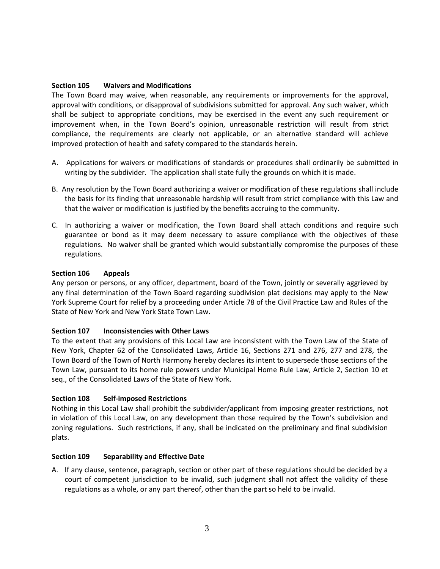#### **Section 105 Waivers and Modifications**

The Town Board may waive, when reasonable, any requirements or improvements for the approval, approval with conditions, or disapproval of subdivisions submitted for approval. Any such waiver, which shall be subject to appropriate conditions, may be exercised in the event any such requirement or improvement when, in the Town Board's opinion, unreasonable restriction will result from strict compliance, the requirements are clearly not applicable, or an alternative standard will achieve improved protection of health and safety compared to the standards herein.

- A. Applications for waivers or modifications of standards or procedures shall ordinarily be submitted in writing by the subdivider. The application shall state fully the grounds on which it is made.
- B. Any resolution by the Town Board authorizing a waiver or modification of these regulations shall include the basis for its finding that unreasonable hardship will result from strict compliance with this Law and that the waiver or modification is justified by the benefits accruing to the community.
- C. In authorizing a waiver or modification, the Town Board shall attach conditions and require such guarantee or bond as it may deem necessary to assure compliance with the objectives of these regulations. No waiver shall be granted which would substantially compromise the purposes of these regulations.

#### **Section 106 Appeals**

Any person or persons, or any officer, department, board of the Town, jointly or severally aggrieved by any final determination of the Town Board regarding subdivision plat decisions may apply to the New York Supreme Court for relief by a proceeding under Article 78 of the Civil Practice Law and Rules of the State of New York and New York State Town Law.

## **Section 107 Inconsistencies with Other Laws**

To the extent that any provisions of this Local Law are inconsistent with the Town Law of the State of New York, Chapter 62 of the Consolidated Laws, Article 16, Sections 271 and 276, 277 and 278, the Town Board of the Town of North Harmony hereby declares its intent to supersede those sections of the Town Law, pursuant to its home rule powers under Municipal Home Rule Law, Article 2, Section 10 et seq., of the Consolidated Laws of the State of New York.

## **Section 108 Self-imposed Restrictions**

Nothing in this Local Law shall prohibit the subdivider/applicant from imposing greater restrictions, not in violation of this Local Law, on any development than those required by the Town's subdivision and zoning regulations. Such restrictions, if any, shall be indicated on the preliminary and final subdivision plats.

## **Section 109 Separability and Effective Date**

A. If any clause, sentence, paragraph, section or other part of these regulations should be decided by a court of competent jurisdiction to be invalid, such judgment shall not affect the validity of these regulations as a whole, or any part thereof, other than the part so held to be invalid.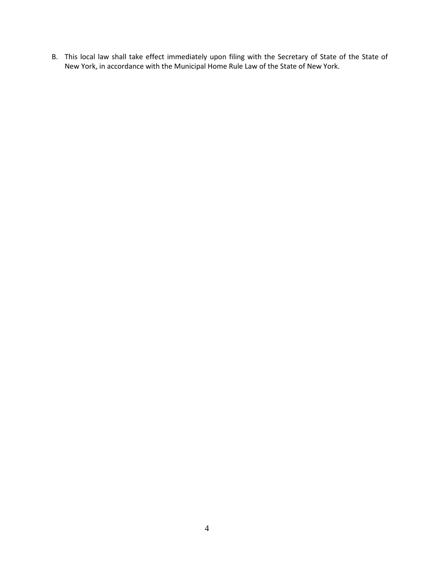B. This local law shall take effect immediately upon filing with the Secretary of State of the State of New York, in accordance with the Municipal Home Rule Law of the State of New York.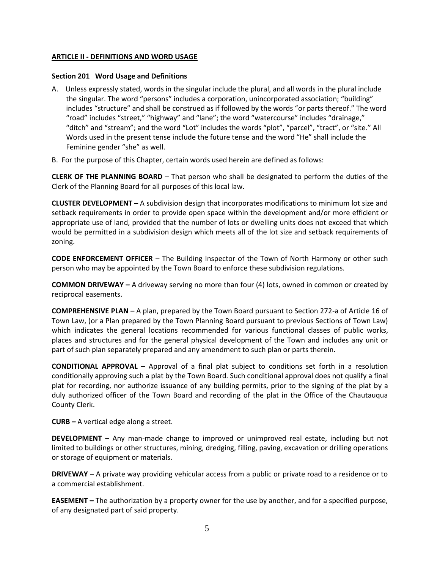## **ARTICLE II - DEFINITIONS AND WORD USAGE**

#### **Section 201 Word Usage and Definitions**

- A. Unless expressly stated, words in the singular include the plural, and all words in the plural include the singular. The word "persons" includes a corporation, unincorporated association; "building" includes "structure" and shall be construed as if followed by the words "or parts thereof." The word "road" includes "street," "highway" and "lane"; the word "watercourse" includes "drainage," "ditch" and "stream"; and the word "Lot" includes the words "plot", "parcel", "tract", or "site." All Words used in the present tense include the future tense and the word "He" shall include the Feminine gender "she" as well.
- B. For the purpose of this Chapter, certain words used herein are defined as follows:

**CLERK OF THE PLANNING BOARD** – That person who shall be designated to perform the duties of the Clerk of the Planning Board for all purposes of this local law.

**CLUSTER DEVELOPMENT –** A subdivision design that incorporates modifications to minimum lot size and setback requirements in order to provide open space within the development and/or more efficient or appropriate use of land, provided that the number of lots or dwelling units does not exceed that which would be permitted in a subdivision design which meets all of the lot size and setback requirements of zoning.

**CODE ENFORCEMENT OFFICER** – The Building Inspector of the Town of North Harmony or other such person who may be appointed by the Town Board to enforce these subdivision regulations.

**COMMON DRIVEWAY –** A driveway serving no more than four (4) lots, owned in common or created by reciprocal easements.

**COMPREHENSIVE PLAN –** A plan, prepared by the Town Board pursuant to Section 272-a of Article 16 of Town Law, (or a Plan prepared by the Town Planning Board pursuant to previous Sections of Town Law) which indicates the general locations recommended for various functional classes of public works, places and structures and for the general physical development of the Town and includes any unit or part of such plan separately prepared and any amendment to such plan or parts therein.

**CONDITIONAL APPROVAL –** Approval of a final plat subject to conditions set forth in a resolution conditionally approving such a plat by the Town Board. Such conditional approval does not qualify a final plat for recording, nor authorize issuance of any building permits, prior to the signing of the plat by a duly authorized officer of the Town Board and recording of the plat in the Office of the Chautauqua County Clerk.

**CURB –** A vertical edge along a street.

**DEVELOPMENT –** Any man-made change to improved or unimproved real estate, including but not limited to buildings or other structures, mining, dredging, filling, paving, excavation or drilling operations or storage of equipment or materials.

**DRIVEWAY –** A private way providing vehicular access from a public or private road to a residence or to a commercial establishment.

**EASEMENT –** The authorization by a property owner for the use by another, and for a specified purpose, of any designated part of said property.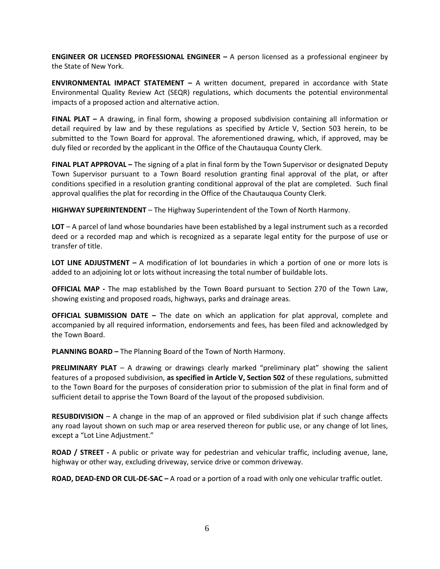**ENGINEER OR LICENSED PROFESSIONAL ENGINEER –** A person licensed as a professional engineer by the State of New York.

**ENVIRONMENTAL IMPACT STATEMENT –** A written document, prepared in accordance with State Environmental Quality Review Act (SEQR) regulations, which documents the potential environmental impacts of a proposed action and alternative action.

**FINAL PLAT –** A drawing, in final form, showing a proposed subdivision containing all information or detail required by law and by these regulations as specified by Article V, Section 503 herein, to be submitted to the Town Board for approval. The aforementioned drawing, which, if approved, may be duly filed or recorded by the applicant in the Office of the Chautauqua County Clerk.

**FINAL PLAT APPROVAL –** The signing of a plat in final form by the Town Supervisor or designated Deputy Town Supervisor pursuant to a Town Board resolution granting final approval of the plat, or after conditions specified in a resolution granting conditional approval of the plat are completed. Such final approval qualifies the plat for recording in the Office of the Chautauqua County Clerk.

**HIGHWAY SUPERINTENDENT** – The Highway Superintendent of the Town of North Harmony.

**LOT** – A parcel of land whose boundaries have been established by a legal instrument such as a recorded deed or a recorded map and which is recognized as a separate legal entity for the purpose of use or transfer of title.

**LOT LINE ADJUSTMENT –** A modification of lot boundaries in which a portion of one or more lots is added to an adjoining lot or lots without increasing the total number of buildable lots.

**OFFICIAL MAP -** The map established by the Town Board pursuant to Section 270 of the Town Law, showing existing and proposed roads, highways, parks and drainage areas.

**OFFICIAL SUBMISSION DATE –** The date on which an application for plat approval, complete and accompanied by all required information, endorsements and fees, has been filed and acknowledged by the Town Board.

**PLANNING BOARD –** The Planning Board of the Town of North Harmony.

**PRELIMINARY PLAT** – A drawing or drawings clearly marked "preliminary plat" showing the salient features of a proposed subdivision, **as specified in Article V, Section 502** of these regulations, submitted to the Town Board for the purposes of consideration prior to submission of the plat in final form and of sufficient detail to apprise the Town Board of the layout of the proposed subdivision.

**RESUBDIVISION** – A change in the map of an approved or filed subdivision plat if such change affects any road layout shown on such map or area reserved thereon for public use, or any change of lot lines, except a "Lot Line Adjustment."

**ROAD / STREET -** A public or private way for pedestrian and vehicular traffic, including avenue, lane, highway or other way, excluding driveway, service drive or common driveway.

**ROAD, DEAD-END OR CUL-DE-SAC –** A road or a portion of a road with only one vehicular traffic outlet.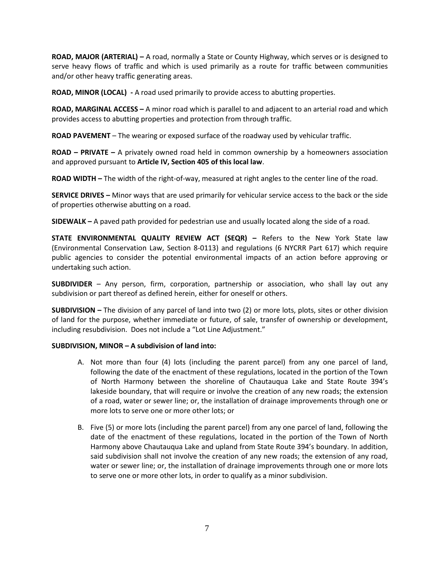**ROAD, MAJOR (ARTERIAL) –** A road, normally a State or County Highway, which serves or is designed to serve heavy flows of traffic and which is used primarily as a route for traffic between communities and/or other heavy traffic generating areas.

**ROAD, MINOR (LOCAL) -** A road used primarily to provide access to abutting properties.

**ROAD, MARGINAL ACCESS –** A minor road which is parallel to and adjacent to an arterial road and which provides access to abutting properties and protection from through traffic.

**ROAD PAVEMENT** – The wearing or exposed surface of the roadway used by vehicular traffic.

**ROAD – PRIVATE –** A privately owned road held in common ownership by a homeowners association and approved pursuant to **Article IV, Section 405 of this local law**.

**ROAD WIDTH –** The width of the right-of-way, measured at right angles to the center line of the road.

**SERVICE DRIVES –** Minor ways that are used primarily for vehicular service access to the back or the side of properties otherwise abutting on a road.

**SIDEWALK –** A paved path provided for pedestrian use and usually located along the side of a road.

**STATE ENVIRONMENTAL QUALITY REVIEW ACT (SEQR) –** Refers to the New York State law (Environmental Conservation Law, Section 8-0113) and regulations (6 NYCRR Part 617) which require public agencies to consider the potential environmental impacts of an action before approving or undertaking such action.

**SUBDIVIDER** – Any person, firm, corporation, partnership or association, who shall lay out any subdivision or part thereof as defined herein, either for oneself or others.

**SUBDIVISION –** The division of any parcel of land into two (2) or more lots, plots, sites or other division of land for the purpose, whether immediate or future, of sale, transfer of ownership or development, including resubdivision. Does not include a "Lot Line Adjustment."

## **SUBDIVISION, MINOR – A subdivision of land into:**

- A. Not more than four (4) lots (including the parent parcel) from any one parcel of land, following the date of the enactment of these regulations, located in the portion of the Town of North Harmony between the shoreline of Chautauqua Lake and State Route 394's lakeside boundary, that will require or involve the creation of any new roads; the extension of a road, water or sewer line; or, the installation of drainage improvements through one or more lots to serve one or more other lots; or
- B. Five (5) or more lots (including the parent parcel) from any one parcel of land, following the date of the enactment of these regulations, located in the portion of the Town of North Harmony above Chautauqua Lake and upland from State Route 394's boundary. In addition, said subdivision shall not involve the creation of any new roads; the extension of any road, water or sewer line; or, the installation of drainage improvements through one or more lots to serve one or more other lots, in order to qualify as a minor subdivision.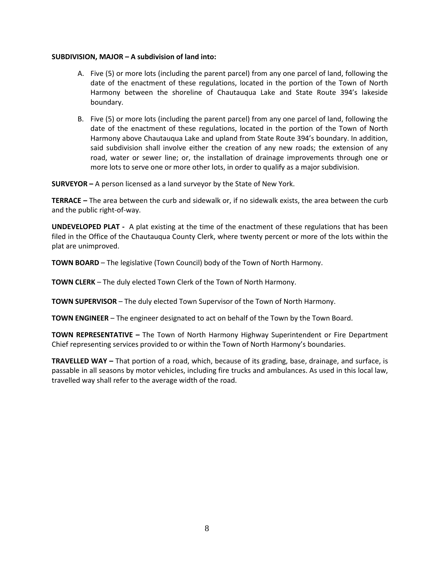#### **SUBDIVISION, MAJOR – A subdivision of land into:**

- A. Five (5) or more lots (including the parent parcel) from any one parcel of land, following the date of the enactment of these regulations, located in the portion of the Town of North Harmony between the shoreline of Chautauqua Lake and State Route 394's lakeside boundary.
- B. Five (5) or more lots (including the parent parcel) from any one parcel of land, following the date of the enactment of these regulations, located in the portion of the Town of North Harmony above Chautauqua Lake and upland from State Route 394's boundary. In addition, said subdivision shall involve either the creation of any new roads; the extension of any road, water or sewer line; or, the installation of drainage improvements through one or more lots to serve one or more other lots, in order to qualify as a major subdivision.

**SURVEYOR –** A person licensed as a land surveyor by the State of New York.

**TERRACE –** The area between the curb and sidewalk or, if no sidewalk exists, the area between the curb and the public right-of-way.

**UNDEVELOPED PLAT -** A plat existing at the time of the enactment of these regulations that has been filed in the Office of the Chautauqua County Clerk, where twenty percent or more of the lots within the plat are unimproved.

**TOWN BOARD** – The legislative (Town Council) body of the Town of North Harmony.

**TOWN CLERK** – The duly elected Town Clerk of the Town of North Harmony.

**TOWN SUPERVISOR** – The duly elected Town Supervisor of the Town of North Harmony.

**TOWN ENGINEER** – The engineer designated to act on behalf of the Town by the Town Board.

**TOWN REPRESENTATIVE –** The Town of North Harmony Highway Superintendent or Fire Department Chief representing services provided to or within the Town of North Harmony's boundaries.

**TRAVELLED WAY –** That portion of a road, which, because of its grading, base, drainage, and surface, is passable in all seasons by motor vehicles, including fire trucks and ambulances. As used in this local law, travelled way shall refer to the average width of the road.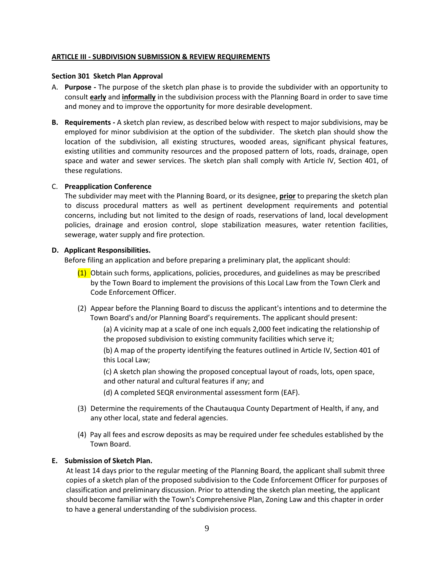#### **ARTICLE III - SUBDIVISION SUBMISSION & REVIEW REQUIREMENTS**

#### **Section 301 Sketch Plan Approval**

- A. **Purpose -** The purpose of the sketch plan phase is to provide the subdivider with an opportunity to consult **early** and **informally** in the subdivision process with the Planning Board in order to save time and money and to improve the opportunity for more desirable development.
- **B. Requirements -** A sketch plan review, as described below with respect to major subdivisions, may be employed for minor subdivision at the option of the subdivider. The sketch plan should show the location of the subdivision, all existing structures, wooded areas, significant physical features, existing utilities and community resources and the proposed pattern of lots, roads, drainage, open space and water and sewer services. The sketch plan shall comply with Article IV, Section 401, of these regulations.

#### C. **Preapplication Conference**

The subdivider may meet with the Planning Board, or its designee, **prior** to preparing the sketch plan to discuss procedural matters as well as pertinent development requirements and potential concerns, including but not limited to the design of roads, reservations of land, local development policies, drainage and erosion control, slope stabilization measures, water retention facilities, sewerage, water supply and fire protection.

#### **D. Applicant Responsibilities.**

Before filing an application and before preparing a preliminary plat, the applicant should:

- $(1)$  Obtain such forms, applications, policies, procedures, and guidelines as may be prescribed by the Town Board to implement the provisions of this Local Law from the Town Clerk and Code Enforcement Officer.
- (2) Appear before the Planning Board to discuss the applicant's intentions and to determine the Town Board's and/or Planning Board's requirements. The applicant should present:

(a) A vicinity map at a scale of one inch equals 2,000 feet indicating the relationship of the proposed subdivision to existing community facilities which serve it;

(b) A map of the property identifying the features outlined in Article IV, Section 401 of this Local Law;

(c) A sketch plan showing the proposed conceptual layout of roads, lots, open space, and other natural and cultural features if any; and

(d) A completed SEQR environmental assessment form (EAF).

- (3) Determine the requirements of the Chautauqua County Department of Health, if any, and any other local, state and federal agencies.
- (4) Pay all fees and escrow deposits as may be required under fee schedules established by the Town Board.

## **E. Submission of Sketch Plan.**

 At least 14 days prior to the regular meeting of the Planning Board, the applicant shall submit three copies of a sketch plan of the proposed subdivision to the Code Enforcement Officer for purposes of classification and preliminary discussion. Prior to attending the sketch plan meeting, the applicant should become familiar with the Town's Comprehensive Plan, Zoning Law and this chapter in order to have a general understanding of the subdivision process.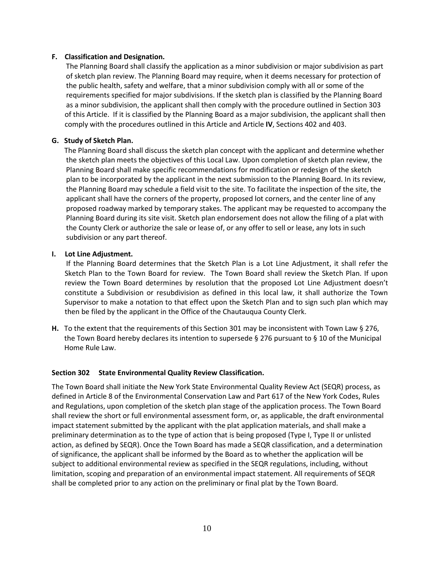#### **F. Classification and Designation.**

 The Planning Board shall classify the application as a minor subdivision or major subdivision as part of sketch plan review. The Planning Board may require, when it deems necessary for protection of the public health, safety and welfare, that a minor subdivision comply with all or some of the requirements specified for major subdivisions. If the sketch plan is classified by the Planning Board as a minor subdivision, the applicant shall then comply with the procedure outlined in Section 303 of this Article. If it is classified by the Planning Board as a major subdivision, the applicant shall then comply with the procedures outlined in this Article and Article **IV**, Sections 402 and 403.

## **G. Study of Sketch Plan.**

 The Planning Board shall discuss the sketch plan concept with the applicant and determine whether the sketch plan meets the objectives of this Local Law. Upon completion of sketch plan review, the Planning Board shall make specific recommendations for modification or redesign of the sketch plan to be incorporated by the applicant in the next submission to the Planning Board. In its review, the Planning Board may schedule a field visit to the site. To facilitate the inspection of the site, the applicant shall have the corners of the property, proposed lot corners, and the center line of any proposed roadway marked by temporary stakes. The applicant may be requested to accompany the Planning Board during its site visit. Sketch plan endorsement does not allow the filing of a plat with the County Clerk or authorize the sale or lease of, or any offer to sell or lease, any lots in such subdivision or any part thereof.

## **I. Lot Line Adjustment.**

 If the Planning Board determines that the Sketch Plan is a Lot Line Adjustment, it shall refer the Sketch Plan to the Town Board for review. The Town Board shall review the Sketch Plan. If upon review the Town Board determines by resolution that the proposed Lot Line Adjustment doesn't constitute a Subdivision or resubdivision as defined in this local law, it shall authorize the Town Supervisor to make a notation to that effect upon the Sketch Plan and to sign such plan which may then be filed by the applicant in the Office of the Chautauqua County Clerk.

**H.** To the extent that the requirements of this Section 301 may be inconsistent with Town Law § 276, the Town Board hereby declares its intention to supersede § 276 pursuant to § 10 of the Municipal Home Rule Law.

## **Section 302 State Environmental Quality Review Classification.**

The Town Board shall initiate the New York State Environmental Quality Review Act (SEQR) process, as defined in Article 8 of the Environmental Conservation Law and Part 617 of the New York Codes, Rules and Regulations, upon completion of the sketch plan stage of the application process. The Town Board shall review the short or full environmental assessment form, or, as applicable, the draft environmental impact statement submitted by the applicant with the plat application materials, and shall make a preliminary determination as to the type of action that is being proposed (Type I, Type II or unlisted action, as defined by SEQR). Once the Town Board has made a SEQR classification, and a determination of significance, the applicant shall be informed by the Board as to whether the application will be subject to additional environmental review as specified in the SEQR regulations, including, without limitation, scoping and preparation of an environmental impact statement. All requirements of SEQR shall be completed prior to any action on the preliminary or final plat by the Town Board.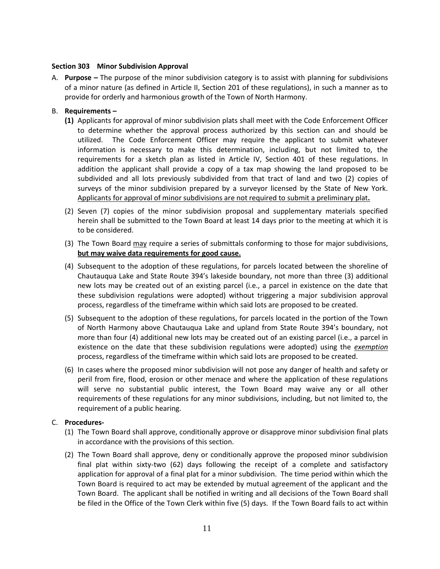## **Section 303 Minor Subdivision Approval**

A. **Purpose –** The purpose of the minor subdivision category is to assist with planning for subdivisions of a minor nature (as defined in Article II, Section 201 of these regulations), in such a manner as to provide for orderly and harmonious growth of the Town of North Harmony.

## B. **Requirements –**

- **(1)** Applicants for approval of minor subdivision plats shall meet with the Code Enforcement Officer to determine whether the approval process authorized by this section can and should be utilized. The Code Enforcement Officer may require the applicant to submit whatever information is necessary to make this determination, including, but not limited to, the requirements for a sketch plan as listed in Article IV, Section 401 of these regulations. In addition the applicant shall provide a copy of a tax map showing the land proposed to be subdivided and all lots previously subdivided from that tract of land and two (2) copies of surveys of the minor subdivision prepared by a surveyor licensed by the State of New York. Applicants for approval of minor subdivisions are not required to submit a preliminary plat**.**
- (2) Seven (7) copies of the minor subdivision proposal and supplementary materials specified herein shall be submitted to the Town Board at least 14 days prior to the meeting at which it is to be considered.
- (3) The Town Board may require a series of submittals conforming to those for major subdivisions, **but may waive data requirements for good cause.**
- (4) Subsequent to the adoption of these regulations, for parcels located between the shoreline of Chautauqua Lake and State Route 394's lakeside boundary, not more than three (3) additional new lots may be created out of an existing parcel (i.e., a parcel in existence on the date that these subdivision regulations were adopted) without triggering a major subdivision approval process, regardless of the timeframe within which said lots are proposed to be created.
- (5) Subsequent to the adoption of these regulations, for parcels located in the portion of the Town of North Harmony above Chautauqua Lake and upland from State Route 394's boundary, not more than four (4) additional new lots may be created out of an existing parcel (i.e., a parcel in existence on the date that these subdivision regulations were adopted) using the *exemption* process, regardless of the timeframe within which said lots are proposed to be created.
- (6) In cases where the proposed minor subdivision will not pose any danger of health and safety or peril from fire, flood, erosion or other menace and where the application of these regulations will serve no substantial public interest, the Town Board may waive any or all other requirements of these regulations for any minor subdivisions, including, but not limited to, the requirement of a public hearing.

## C. **Procedures-**

- (1) The Town Board shall approve, conditionally approve or disapprove minor subdivision final plats in accordance with the provisions of this section.
- (2) The Town Board shall approve, deny or conditionally approve the proposed minor subdivision final plat within sixty-two (62) days following the receipt of a complete and satisfactory application for approval of a final plat for a minor subdivision. The time period within which the Town Board is required to act may be extended by mutual agreement of the applicant and the Town Board. The applicant shall be notified in writing and all decisions of the Town Board shall be filed in the Office of the Town Clerk within five (5) days. If the Town Board fails to act within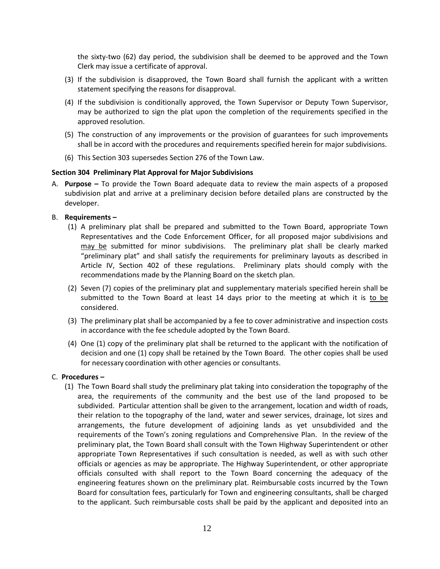the sixty-two (62) day period, the subdivision shall be deemed to be approved and the Town Clerk may issue a certificate of approval.

- (3) If the subdivision is disapproved, the Town Board shall furnish the applicant with a written statement specifying the reasons for disapproval.
- (4) If the subdivision is conditionally approved, the Town Supervisor or Deputy Town Supervisor, may be authorized to sign the plat upon the completion of the requirements specified in the approved resolution.
- (5) The construction of any improvements or the provision of guarantees for such improvements shall be in accord with the procedures and requirements specified herein for major subdivisions.
- (6) This Section 303 supersedes Section 276 of the Town Law.

## **Section 304 Preliminary Plat Approval for Major Subdivisions**

A. **Purpose –** To provide the Town Board adequate data to review the main aspects of a proposed subdivision plat and arrive at a preliminary decision before detailed plans are constructed by the developer.

## B. **Requirements –**

- (1) A preliminary plat shall be prepared and submitted to the Town Board, appropriate Town Representatives and the Code Enforcement Officer, for all proposed major subdivisions and may be submitted for minor subdivisions. The preliminary plat shall be clearly marked "preliminary plat" and shall satisfy the requirements for preliminary layouts as described in Article IV, Section 402 of these regulations. Preliminary plats should comply with the recommendations made by the Planning Board on the sketch plan.
- (2) Seven (7) copies of the preliminary plat and supplementary materials specified herein shall be submitted to the Town Board at least 14 days prior to the meeting at which it is to be considered.
- (3) The preliminary plat shall be accompanied by a fee to cover administrative and inspection costs in accordance with the fee schedule adopted by the Town Board.
- (4) One (1) copy of the preliminary plat shall be returned to the applicant with the notification of decision and one (1) copy shall be retained by the Town Board. The other copies shall be used for necessary coordination with other agencies or consultants.

#### C. **Procedures –**

(1) The Town Board shall study the preliminary plat taking into consideration the topography of the area, the requirements of the community and the best use of the land proposed to be subdivided. Particular attention shall be given to the arrangement, location and width of roads, their relation to the topography of the land, water and sewer services, drainage, lot sizes and arrangements, the future development of adjoining lands as yet unsubdivided and the requirements of the Town's zoning regulations and Comprehensive Plan. In the review of the preliminary plat, the Town Board shall consult with the Town Highway Superintendent or other appropriate Town Representatives if such consultation is needed, as well as with such other officials or agencies as may be appropriate. The Highway Superintendent, or other appropriate officials consulted with shall report to the Town Board concerning the adequacy of the engineering features shown on the preliminary plat. Reimbursable costs incurred by the Town Board for consultation fees, particularly for Town and engineering consultants, shall be charged to the applicant. Such reimbursable costs shall be paid by the applicant and deposited into an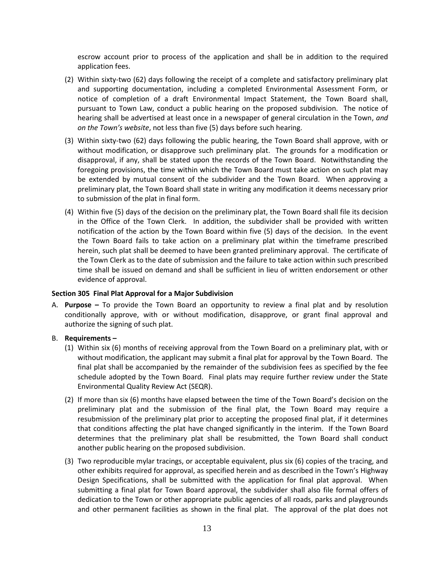escrow account prior to process of the application and shall be in addition to the required application fees.

- (2) Within sixty-two (62) days following the receipt of a complete and satisfactory preliminary plat and supporting documentation, including a completed Environmental Assessment Form, or notice of completion of a draft Environmental Impact Statement, the Town Board shall, pursuant to Town Law, conduct a public hearing on the proposed subdivision. The notice of hearing shall be advertised at least once in a newspaper of general circulation in the Town, *and on the Town's website*, not less than five (5) days before such hearing.
- (3) Within sixty-two (62) days following the public hearing, the Town Board shall approve, with or without modification, or disapprove such preliminary plat. The grounds for a modification or disapproval, if any, shall be stated upon the records of the Town Board. Notwithstanding the foregoing provisions, the time within which the Town Board must take action on such plat may be extended by mutual consent of the subdivider and the Town Board. When approving a preliminary plat, the Town Board shall state in writing any modification it deems necessary prior to submission of the plat in final form.
- (4) Within five (5) days of the decision on the preliminary plat, the Town Board shall file its decision in the Office of the Town Clerk. In addition, the subdivider shall be provided with written notification of the action by the Town Board within five (5) days of the decision. In the event the Town Board fails to take action on a preliminary plat within the timeframe prescribed herein, such plat shall be deemed to have been granted preliminary approval. The certificate of the Town Clerk as to the date of submission and the failure to take action within such prescribed time shall be issued on demand and shall be sufficient in lieu of written endorsement or other evidence of approval.

## **Section 305 Final Plat Approval for a Major Subdivision**

A. **Purpose –** To provide the Town Board an opportunity to review a final plat and by resolution conditionally approve, with or without modification, disapprove, or grant final approval and authorize the signing of such plat.

## B. **Requirements –**

- (1) Within six (6) months of receiving approval from the Town Board on a preliminary plat, with or without modification, the applicant may submit a final plat for approval by the Town Board. The final plat shall be accompanied by the remainder of the subdivision fees as specified by the fee schedule adopted by the Town Board. Final plats may require further review under the State Environmental Quality Review Act (SEQR).
- (2) If more than six (6) months have elapsed between the time of the Town Board's decision on the preliminary plat and the submission of the final plat, the Town Board may require a resubmission of the preliminary plat prior to accepting the proposed final plat, if it determines that conditions affecting the plat have changed significantly in the interim. If the Town Board determines that the preliminary plat shall be resubmitted, the Town Board shall conduct another public hearing on the proposed subdivision.
- (3) Two reproducible mylar tracings, or acceptable equivalent, plus six (6) copies of the tracing, and other exhibits required for approval, as specified herein and as described in the Town's Highway Design Specifications, shall be submitted with the application for final plat approval. When submitting a final plat for Town Board approval, the subdivider shall also file formal offers of dedication to the Town or other appropriate public agencies of all roads, parks and playgrounds and other permanent facilities as shown in the final plat. The approval of the plat does not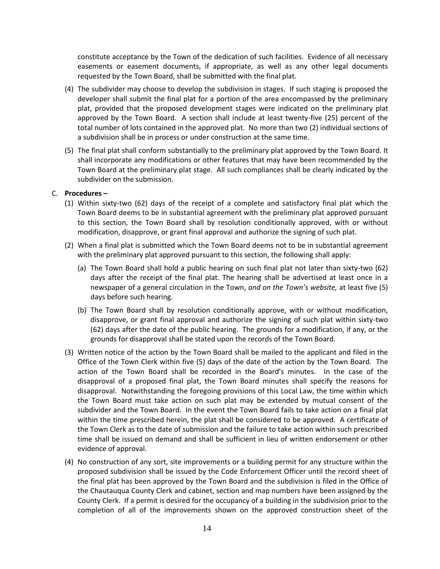constitute acceptance by the Town of the dedication of such facilities. Evidence of all necessary easements or easement documents, if appropriate, as well as any other legal documents requested by the Town Board, shall be submitted with the final plat.

- (4) The subdivider may choose to develop the subdivision in stages. If such staging is proposed the developer shall submit the final plat for a portion of the area encompassed by the preliminary plat, provided that the proposed development stages were indicated on the preliminary plat approved by the Town Board. A section shall include at least twenty-five (25) percent of the total number of lots contained in the approved plat. No more than two (2) individual sections of a subdivision shall be in process or under construction at the same time.
- (5) The final plat shall conform substantially to the preliminary plat approved by the Town Board. It shall incorporate any modifications or other features that may have been recommended by the Town Board at the preliminary plat stage. All such compliances shall be clearly indicated by the subdivider on the submission.

## C. **Procedures –**

- (1) Within sixty-two (62) days of the receipt of a complete and satisfactory final plat which the Town Board deems to be in substantial agreement with the preliminary plat approved pursuant to this section, the Town Board shall by resolution conditionally approved, with or without modification, disapprove, or grant final approval and authorize the signing of such plat.
- (2) When a final plat is submitted which the Town Board deems not to be in substantial agreement with the preliminary plat approved pursuant to this section, the following shall apply:
	- (a) The Town Board shall hold a public hearing on such final plat not later than sixty-two (62) days after the receipt of the final plat. The hearing shall be advertised at least once in a newspaper of a general circulation in the Town, *and on the Town's website,* at least five (5) days before such hearing.
	- (b) The Town Board shall by resolution conditionally approve, with or without modification, disapprove, or grant final approval and authorize the signing of such plat within sixty-two (62) days after the date of the public hearing. The grounds for a modification, if any, or the grounds for disapproval shall be stated upon the records of the Town Board.
- (3) Written notice of the action by the Town Board shall be mailed to the applicant and filed in the Office of the Town Clerk within five (5) days of the date of the action by the Town Board. The action of the Town Board shall be recorded in the Board's minutes. In the case of the disapproval of a proposed final plat, the Town Board minutes shall specify the reasons for disapproval. Notwithstanding the foregoing provisions of this Local Law, the time within which the Town Board must take action on such plat may be extended by mutual consent of the subdivider and the Town Board. In the event the Town Board fails to take action on a final plat within the time prescribed herein, the plat shall be considered to be approved. A certificate of the Town Clerk as to the date of submission and the failure to take action within such prescribed time shall be issued on demand and shall be sufficient in lieu of written endorsement or other evidence of approval.
- (4) No construction of any sort, site improvements or a building permit for any structure within the proposed subdivision shall be issued by the Code Enforcement Officer until the record sheet of the final plat has been approved by the Town Board and the subdivision is filed in the Office of the Chautauqua County Clerk and cabinet, section and map numbers have been assigned by the County Clerk. If a permit is desired for the occupancy of a building in the subdivision prior to the completion of all of the improvements shown on the approved construction sheet of the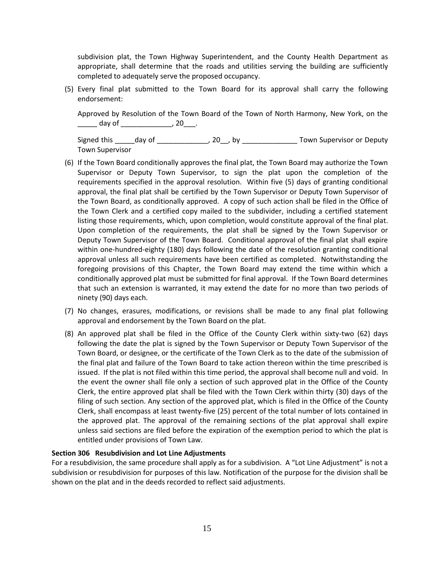subdivision plat, the Town Highway Superintendent, and the County Health Department as appropriate, shall determine that the roads and utilities serving the building are sufficiently completed to adequately serve the proposed occupancy.

(5) Every final plat submitted to the Town Board for its approval shall carry the following endorsement:

Approved by Resolution of the Town Board of the Town of North Harmony, New York, on the \_\_\_\_\_\_\_ day of \_\_\_\_\_\_\_\_\_\_\_\_\_\_\_\_\_\_\_\_\_, 20\_\_\_\_.

Signed this \_\_\_\_\_day of \_\_\_\_\_\_\_\_\_\_\_\_\_\_, 20\_\_, by \_\_\_\_\_\_\_\_\_\_\_\_\_\_\_\_\_\_Town Supervisor or Deputy Town Supervisor

- (6) If the Town Board conditionally approves the final plat, the Town Board may authorize the Town Supervisor or Deputy Town Supervisor, to sign the plat upon the completion of the requirements specified in the approval resolution. Within five (5) days of granting conditional approval, the final plat shall be certified by the Town Supervisor or Deputy Town Supervisor of the Town Board, as conditionally approved. A copy of such action shall be filed in the Office of the Town Clerk and a certified copy mailed to the subdivider, including a certified statement listing those requirements, which, upon completion, would constitute approval of the final plat. Upon completion of the requirements, the plat shall be signed by the Town Supervisor or Deputy Town Supervisor of the Town Board. Conditional approval of the final plat shall expire within one-hundred-eighty (180) days following the date of the resolution granting conditional approval unless all such requirements have been certified as completed. Notwithstanding the foregoing provisions of this Chapter, the Town Board may extend the time within which a conditionally approved plat must be submitted for final approval. If the Town Board determines that such an extension is warranted, it may extend the date for no more than two periods of ninety (90) days each.
- (7) No changes, erasures, modifications, or revisions shall be made to any final plat following approval and endorsement by the Town Board on the plat.
- (8) An approved plat shall be filed in the Office of the County Clerk within sixty-two (62) days following the date the plat is signed by the Town Supervisor or Deputy Town Supervisor of the Town Board, or designee, or the certificate of the Town Clerk as to the date of the submission of the final plat and failure of the Town Board to take action thereon within the time prescribed is issued. If the plat is not filed within this time period, the approval shall become null and void. In the event the owner shall file only a section of such approved plat in the Office of the County Clerk, the entire approved plat shall be filed with the Town Clerk within thirty (30) days of the filing of such section. Any section of the approved plat, which is filed in the Office of the County Clerk, shall encompass at least twenty-five (25) percent of the total number of lots contained in the approved plat. The approval of the remaining sections of the plat approval shall expire unless said sections are filed before the expiration of the exemption period to which the plat is entitled under provisions of Town Law.

#### **Section 306 Resubdivision and Lot Line Adjustments**

For a resubdivision, the same procedure shall apply as for a subdivision. A "Lot Line Adjustment" is not a subdivision or resubdivision for purposes of this law. Notification of the purpose for the division shall be shown on the plat and in the deeds recorded to reflect said adjustments.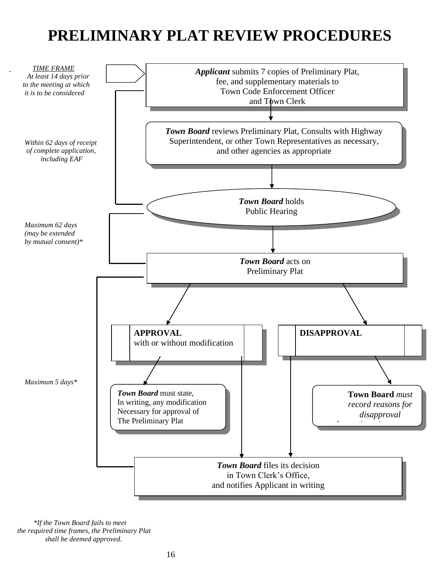## **PRELIMINARY PLAT REVIEW PROCEDURES**



 *\*If the Town Board fails to meet the required time frames, the Preliminary Plat shall be deemed approved.*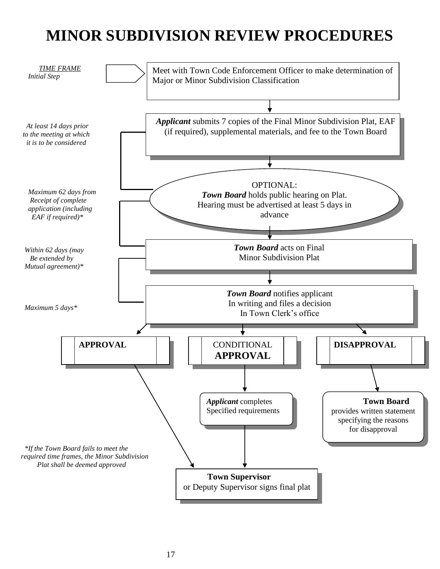# **MINOR SUBDIVISION REVIEW PROCEDURES**

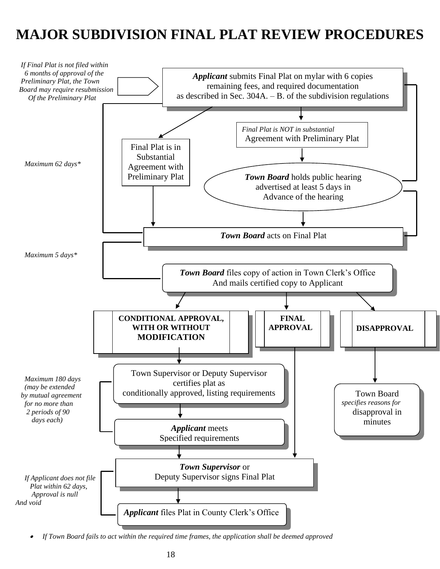## **MAJOR SUBDIVISION FINAL PLAT REVIEW PROCEDURES**



•*If Town Board fails to act within the required time frames, the application shall be deemed approved*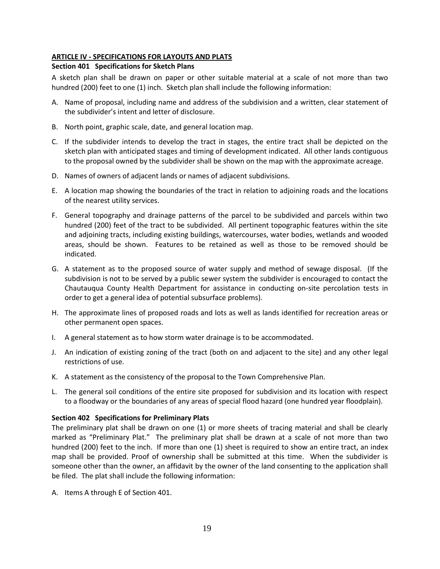## **ARTICLE IV - SPECIFICATIONS FOR LAYOUTS AND PLATS**

## **Section 401 Specifications for Sketch Plans**

A sketch plan shall be drawn on paper or other suitable material at a scale of not more than two hundred (200) feet to one (1) inch. Sketch plan shall include the following information:

- A. Name of proposal, including name and address of the subdivision and a written, clear statement of the subdivider's intent and letter of disclosure.
- B. North point, graphic scale, date, and general location map.
- C. If the subdivider intends to develop the tract in stages, the entire tract shall be depicted on the sketch plan with anticipated stages and timing of development indicated. All other lands contiguous to the proposal owned by the subdivider shall be shown on the map with the approximate acreage.
- D. Names of owners of adjacent lands or names of adjacent subdivisions.
- E. A location map showing the boundaries of the tract in relation to adjoining roads and the locations of the nearest utility services.
- F. General topography and drainage patterns of the parcel to be subdivided and parcels within two hundred (200) feet of the tract to be subdivided. All pertinent topographic features within the site and adjoining tracts, including existing buildings, watercourses, water bodies, wetlands and wooded areas, should be shown. Features to be retained as well as those to be removed should be indicated.
- G. A statement as to the proposed source of water supply and method of sewage disposal. (If the subdivision is not to be served by a public sewer system the subdivider is encouraged to contact the Chautauqua County Health Department for assistance in conducting on-site percolation tests in order to get a general idea of potential subsurface problems).
- H. The approximate lines of proposed roads and lots as well as lands identified for recreation areas or other permanent open spaces.
- I. A general statement as to how storm water drainage is to be accommodated.
- J. An indication of existing zoning of the tract (both on and adjacent to the site) and any other legal restrictions of use.
- K. A statement as the consistency of the proposal to the Town Comprehensive Plan.
- L. The general soil conditions of the entire site proposed for subdivision and its location with respect to a floodway or the boundaries of any areas of special flood hazard (one hundred year floodplain).

## **Section 402 Specifications for Preliminary Plats**

The preliminary plat shall be drawn on one (1) or more sheets of tracing material and shall be clearly marked as "Preliminary Plat." The preliminary plat shall be drawn at a scale of not more than two hundred (200) feet to the inch. If more than one (1) sheet is required to show an entire tract, an index map shall be provided. Proof of ownership shall be submitted at this time. When the subdivider is someone other than the owner, an affidavit by the owner of the land consenting to the application shall be filed. The plat shall include the following information:

A. Items A through E of Section 401.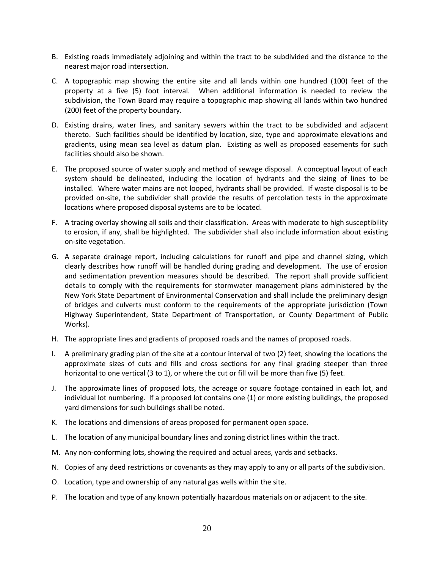- B. Existing roads immediately adjoining and within the tract to be subdivided and the distance to the nearest major road intersection.
- C. A topographic map showing the entire site and all lands within one hundred (100) feet of the property at a five (5) foot interval. When additional information is needed to review the subdivision, the Town Board may require a topographic map showing all lands within two hundred (200) feet of the property boundary.
- D. Existing drains, water lines, and sanitary sewers within the tract to be subdivided and adjacent thereto. Such facilities should be identified by location, size, type and approximate elevations and gradients, using mean sea level as datum plan. Existing as well as proposed easements for such facilities should also be shown.
- E. The proposed source of water supply and method of sewage disposal. A conceptual layout of each system should be delineated, including the location of hydrants and the sizing of lines to be installed. Where water mains are not looped, hydrants shall be provided. If waste disposal is to be provided on-site, the subdivider shall provide the results of percolation tests in the approximate locations where proposed disposal systems are to be located.
- F. A tracing overlay showing all soils and their classification. Areas with moderate to high susceptibility to erosion, if any, shall be highlighted. The subdivider shall also include information about existing on-site vegetation.
- G. A separate drainage report, including calculations for runoff and pipe and channel sizing, which clearly describes how runoff will be handled during grading and development. The use of erosion and sedimentation prevention measures should be described. The report shall provide sufficient details to comply with the requirements for stormwater management plans administered by the New York State Department of Environmental Conservation and shall include the preliminary design of bridges and culverts must conform to the requirements of the appropriate jurisdiction (Town Highway Superintendent, State Department of Transportation, or County Department of Public Works).
- H. The appropriate lines and gradients of proposed roads and the names of proposed roads.
- I. A preliminary grading plan of the site at a contour interval of two (2) feet, showing the locations the approximate sizes of cuts and fills and cross sections for any final grading steeper than three horizontal to one vertical (3 to 1), or where the cut or fill will be more than five (5) feet.
- J. The approximate lines of proposed lots, the acreage or square footage contained in each lot, and individual lot numbering. If a proposed lot contains one (1) or more existing buildings, the proposed yard dimensions for such buildings shall be noted.
- K. The locations and dimensions of areas proposed for permanent open space.
- L. The location of any municipal boundary lines and zoning district lines within the tract.
- M. Any non-conforming lots, showing the required and actual areas, yards and setbacks.
- N. Copies of any deed restrictions or covenants as they may apply to any or all parts of the subdivision.
- O. Location, type and ownership of any natural gas wells within the site.
- P. The location and type of any known potentially hazardous materials on or adjacent to the site.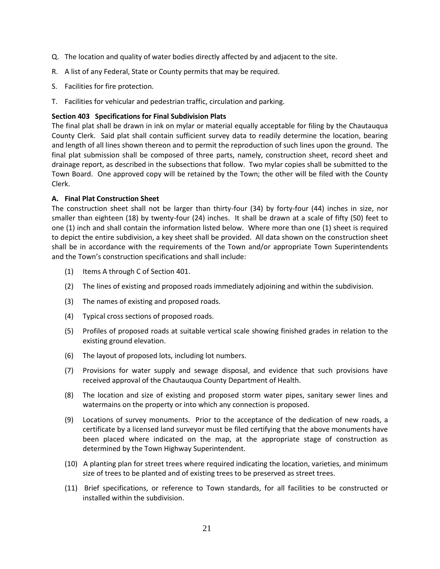- Q. The location and quality of water bodies directly affected by and adjacent to the site.
- R. A list of any Federal, State or County permits that may be required.
- S. Facilities for fire protection.
- T. Facilities for vehicular and pedestrian traffic, circulation and parking.

## **Section 403 Specifications for Final Subdivision Plats**

The final plat shall be drawn in ink on mylar or material equally acceptable for filing by the Chautauqua County Clerk. Said plat shall contain sufficient survey data to readily determine the location, bearing and length of all lines shown thereon and to permit the reproduction of such lines upon the ground. The final plat submission shall be composed of three parts, namely, construction sheet, record sheet and drainage report, as described in the subsections that follow. Two mylar copies shall be submitted to the Town Board. One approved copy will be retained by the Town; the other will be filed with the County Clerk.

## **A. Final Plat Construction Sheet**

The construction sheet shall not be larger than thirty-four (34) by forty-four (44) inches in size, nor smaller than eighteen (18) by twenty-four (24) inches. It shall be drawn at a scale of fifty (50) feet to one (1) inch and shall contain the information listed below. Where more than one (1) sheet is required to depict the entire subdivision, a key sheet shall be provided. All data shown on the construction sheet shall be in accordance with the requirements of the Town and/or appropriate Town Superintendents and the Town's construction specifications and shall include:

- (1) Items A through C of Section 401.
- (2) The lines of existing and proposed roads immediately adjoining and within the subdivision.
- (3) The names of existing and proposed roads.
- (4) Typical cross sections of proposed roads.
- (5) Profiles of proposed roads at suitable vertical scale showing finished grades in relation to the existing ground elevation.
- (6) The layout of proposed lots, including lot numbers.
- (7) Provisions for water supply and sewage disposal, and evidence that such provisions have received approval of the Chautauqua County Department of Health.
- (8) The location and size of existing and proposed storm water pipes, sanitary sewer lines and watermains on the property or into which any connection is proposed.
- (9) Locations of survey monuments. Prior to the acceptance of the dedication of new roads, a certificate by a licensed land surveyor must be filed certifying that the above monuments have been placed where indicated on the map, at the appropriate stage of construction as determined by the Town Highway Superintendent.
- (10) A planting plan for street trees where required indicating the location, varieties, and minimum size of trees to be planted and of existing trees to be preserved as street trees.
- (11) Brief specifications, or reference to Town standards, for all facilities to be constructed or installed within the subdivision.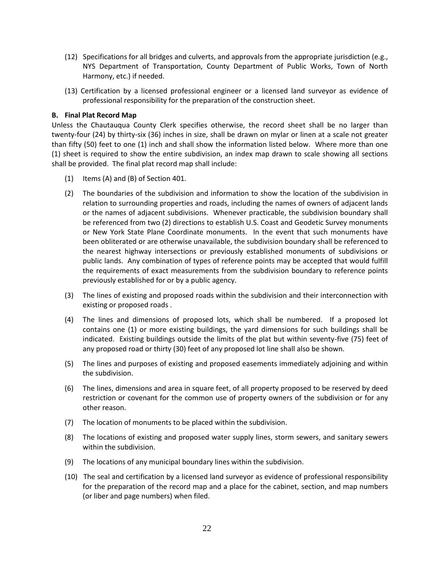- (12) Specifications for all bridges and culverts, and approvals from the appropriate jurisdiction (e.g., NYS Department of Transportation, County Department of Public Works, Town of North Harmony, etc.) if needed.
- (13) Certification by a licensed professional engineer or a licensed land surveyor as evidence of professional responsibility for the preparation of the construction sheet.

## **B. Final Plat Record Map**

Unless the Chautauqua County Clerk specifies otherwise, the record sheet shall be no larger than twenty-four (24) by thirty-six (36) inches in size, shall be drawn on mylar or linen at a scale not greater than fifty (50) feet to one (1) inch and shall show the information listed below. Where more than one (1) sheet is required to show the entire subdivision, an index map drawn to scale showing all sections shall be provided. The final plat record map shall include:

- (1) Items (A) and (B) of Section 401.
- (2) The boundaries of the subdivision and information to show the location of the subdivision in relation to surrounding properties and roads, including the names of owners of adjacent lands or the names of adjacent subdivisions. Whenever practicable, the subdivision boundary shall be referenced from two (2) directions to establish U.S. Coast and Geodetic Survey monuments or New York State Plane Coordinate monuments. In the event that such monuments have been obliterated or are otherwise unavailable, the subdivision boundary shall be referenced to the nearest highway intersections or previously established monuments of subdivisions or public lands. Any combination of types of reference points may be accepted that would fulfill the requirements of exact measurements from the subdivision boundary to reference points previously established for or by a public agency.
- (3) The lines of existing and proposed roads within the subdivision and their interconnection with existing or proposed roads .
- (4) The lines and dimensions of proposed lots, which shall be numbered. If a proposed lot contains one (1) or more existing buildings, the yard dimensions for such buildings shall be indicated. Existing buildings outside the limits of the plat but within seventy-five (75) feet of any proposed road or thirty (30) feet of any proposed lot line shall also be shown.
- (5) The lines and purposes of existing and proposed easements immediately adjoining and within the subdivision.
- (6) The lines, dimensions and area in square feet, of all property proposed to be reserved by deed restriction or covenant for the common use of property owners of the subdivision or for any other reason.
- (7) The location of monuments to be placed within the subdivision.
- (8) The locations of existing and proposed water supply lines, storm sewers, and sanitary sewers within the subdivision.
- (9) The locations of any municipal boundary lines within the subdivision.
- (10) The seal and certification by a licensed land surveyor as evidence of professional responsibility for the preparation of the record map and a place for the cabinet, section, and map numbers (or liber and page numbers) when filed.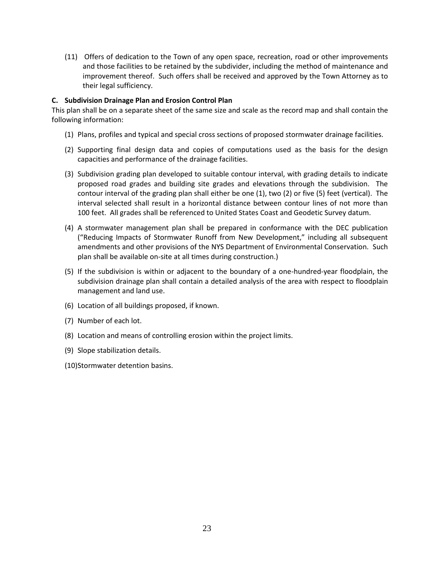(11) Offers of dedication to the Town of any open space, recreation, road or other improvements and those facilities to be retained by the subdivider, including the method of maintenance and improvement thereof. Such offers shall be received and approved by the Town Attorney as to their legal sufficiency.

## **C. Subdivision Drainage Plan and Erosion Control Plan**

This plan shall be on a separate sheet of the same size and scale as the record map and shall contain the following information:

- (1) Plans, profiles and typical and special cross sections of proposed stormwater drainage facilities.
- (2) Supporting final design data and copies of computations used as the basis for the design capacities and performance of the drainage facilities.
- (3) Subdivision grading plan developed to suitable contour interval, with grading details to indicate proposed road grades and building site grades and elevations through the subdivision. The contour interval of the grading plan shall either be one (1), two (2) or five (5) feet (vertical). The interval selected shall result in a horizontal distance between contour lines of not more than 100 feet. All grades shall be referenced to United States Coast and Geodetic Survey datum.
- (4) A stormwater management plan shall be prepared in conformance with the DEC publication ("Reducing Impacts of Stormwater Runoff from New Development," including all subsequent amendments and other provisions of the NYS Department of Environmental Conservation. Such plan shall be available on-site at all times during construction.)
- (5) If the subdivision is within or adjacent to the boundary of a one-hundred-year floodplain, the subdivision drainage plan shall contain a detailed analysis of the area with respect to floodplain management and land use.
- (6) Location of all buildings proposed, if known.
- (7) Number of each lot.
- (8) Location and means of controlling erosion within the project limits.
- (9) Slope stabilization details.
- (10)Stormwater detention basins.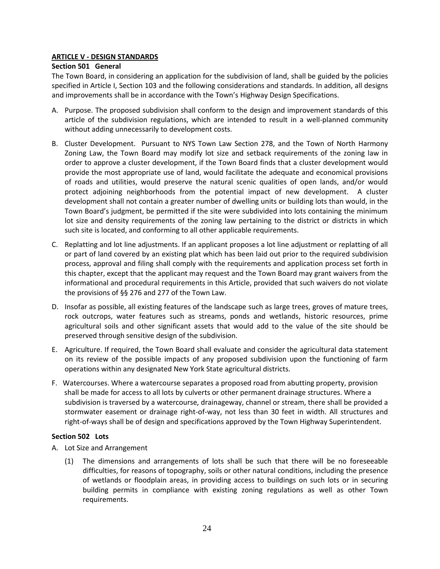## **ARTICLE V - DESIGN STANDARDS**

## **Section 501 General**

The Town Board, in considering an application for the subdivision of land, shall be guided by the policies specified in Article I, Section 103 and the following considerations and standards. In addition, all designs and improvements shall be in accordance with the Town's Highway Design Specifications.

- A. Purpose. The proposed subdivision shall conform to the design and improvement standards of this article of the subdivision regulations, which are intended to result in a well-planned community without adding unnecessarily to development costs.
- B. Cluster Development. Pursuant to NYS Town Law Section 278, and the Town of North Harmony Zoning Law, the Town Board may modify lot size and setback requirements of the zoning law in order to approve a cluster development, if the Town Board finds that a cluster development would provide the most appropriate use of land, would facilitate the adequate and economical provisions of roads and utilities, would preserve the natural scenic qualities of open lands, and/or would protect adjoining neighborhoods from the potential impact of new development. A cluster development shall not contain a greater number of dwelling units or building lots than would, in the Town Board's judgment, be permitted if the site were subdivided into lots containing the minimum lot size and density requirements of the zoning law pertaining to the district or districts in which such site is located, and conforming to all other applicable requirements.
- C. Replatting and lot line adjustments. If an applicant proposes a lot line adjustment or replatting of all or part of land covered by an existing plat which has been laid out prior to the required subdivision process, approval and filing shall comply with the requirements and application process set forth in this chapter, except that the applicant may request and the Town Board may grant waivers from the informational and procedural requirements in this Article, provided that such waivers do not violate the provisions of §§ 276 and 277 of the Town Law.
- D. Insofar as possible, all existing features of the landscape such as large trees, groves of mature trees, rock outcrops, water features such as streams, ponds and wetlands, historic resources, prime agricultural soils and other significant assets that would add to the value of the site should be preserved through sensitive design of the subdivision.
- E. Agriculture. If required, the Town Board shall evaluate and consider the agricultural data statement on its review of the possible impacts of any proposed subdivision upon the functioning of farm operations within any designated New York State agricultural districts.
- F. Watercourses. Where a watercourse separates a proposed road from abutting property, provision shall be made for access to all lots by culverts or other permanent drainage structures. Where a subdivision is traversed by a watercourse, drainageway, channel or stream, there shall be provided a stormwater easement or drainage right-of-way, not less than 30 feet in width. All structures and right-of-ways shall be of design and specifications approved by the Town Highway Superintendent.

## **Section 502 Lots**

- A. Lot Size and Arrangement
	- (1) The dimensions and arrangements of lots shall be such that there will be no foreseeable difficulties, for reasons of topography, soils or other natural conditions, including the presence of wetlands or floodplain areas, in providing access to buildings on such lots or in securing building permits in compliance with existing zoning regulations as well as other Town requirements.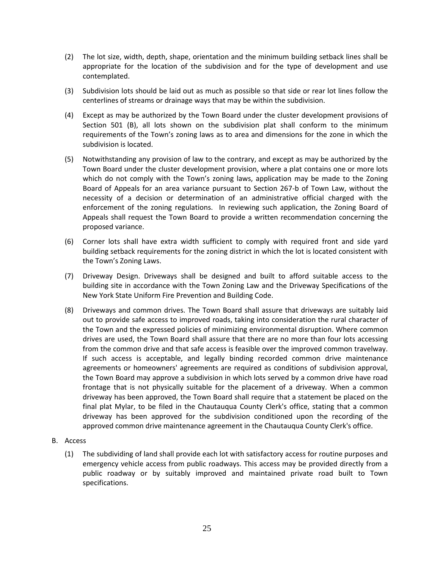- (2) The lot size, width, depth, shape, orientation and the minimum building setback lines shall be appropriate for the location of the subdivision and for the type of development and use contemplated.
- (3) Subdivision lots should be laid out as much as possible so that side or rear lot lines follow the centerlines of streams or drainage ways that may be within the subdivision.
- (4) Except as may be authorized by the Town Board under the cluster development provisions of Section 501 (B), all lots shown on the subdivision plat shall conform to the minimum requirements of the Town's zoning laws as to area and dimensions for the zone in which the subdivision is located.
- (5) Notwithstanding any provision of law to the contrary, and except as may be authorized by the Town Board under the cluster development provision, where a plat contains one or more lots which do not comply with the Town's zoning laws, application may be made to the Zoning Board of Appeals for an area variance pursuant to Section 267-b of Town Law, without the necessity of a decision or determination of an administrative official charged with the enforcement of the zoning regulations. In reviewing such application, the Zoning Board of Appeals shall request the Town Board to provide a written recommendation concerning the proposed variance.
- (6) Corner lots shall have extra width sufficient to comply with required front and side yard building setback requirements for the zoning district in which the lot is located consistent with the Town's Zoning Laws.
- (7) Driveway Design. Driveways shall be designed and built to afford suitable access to the building site in accordance with the Town Zoning Law and the Driveway Specifications of the New York State Uniform Fire Prevention and Building Code.
- (8) Driveways and common drives. The Town Board shall assure that driveways are suitably laid out to provide safe access to improved roads, taking into consideration the rural character of the Town and the expressed policies of minimizing environmental disruption. Where common drives are used, the Town Board shall assure that there are no more than four lots accessing from the common drive and that safe access is feasible over the improved common travelway. If such access is acceptable, and legally binding recorded common drive maintenance agreements or homeowners' agreements are required as conditions of subdivision approval, the Town Board may approve a subdivision in which lots served by a common drive have road frontage that is not physically suitable for the placement of a driveway. When a common driveway has been approved, the Town Board shall require that a statement be placed on the final plat Mylar, to be filed in the Chautauqua County Clerk's office, stating that a common driveway has been approved for the subdivision conditioned upon the recording of the approved common drive maintenance agreement in the Chautauqua County Clerk's office.
- B. Access
	- (1) The subdividing of land shall provide each lot with satisfactory access for routine purposes and emergency vehicle access from public roadways. This access may be provided directly from a public roadway or by suitably improved and maintained private road built to Town specifications.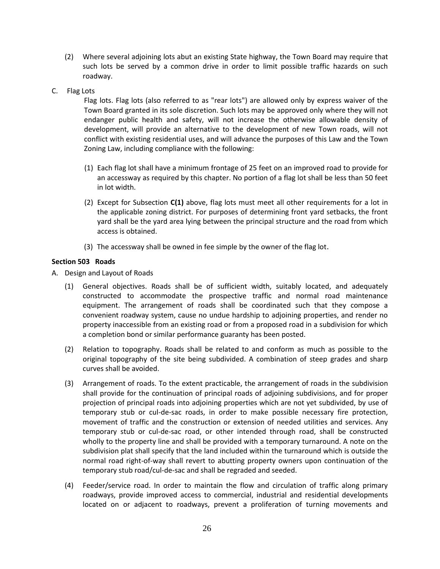- (2) Where several adjoining lots abut an existing State highway, the Town Board may require that such lots be served by a common drive in order to limit possible traffic hazards on such roadway.
- C. Flag Lots

Flag lots. Flag lots (also referred to as "rear lots") are allowed only by express waiver of the Town Board granted in its sole discretion. Such lots may be approved only where they will not endanger public health and safety, will not increase the otherwise allowable density of development, will provide an alternative to the development of new Town roads, will not conflict with existing residential uses, and will advance the purposes of this Law and the Town Zoning Law, including compliance with the following:

- (1) Each flag lot shall have a minimum frontage of 25 feet on an improved road to provide for an accessway as required by this chapter. No portion of a flag lot shall be less than 50 feet in lot width.
- (2) Except for Subsection **C(1)** above, flag lots must meet all other requirements for a lot in the applicable zoning district. For purposes of determining front yard setbacks, the front yard shall be the yard area lying between the principal structure and the road from which access is obtained.
- (3) The accessway shall be owned in fee simple by the owner of the flag lot.

## **Section 503 Roads**

- A. Design and Layout of Roads
	- (1) General objectives. Roads shall be of sufficient width, suitably located, and adequately constructed to accommodate the prospective traffic and normal road maintenance equipment. The arrangement of roads shall be coordinated such that they compose a convenient roadway system, cause no undue hardship to adjoining properties, and render no property inaccessible from an existing road or from a proposed road in a subdivision for which a completion bond or similar performance guaranty has been posted.
	- (2) Relation to topography. Roads shall be related to and conform as much as possible to the original topography of the site being subdivided. A combination of steep grades and sharp curves shall be avoided.
	- (3) Arrangement of roads. To the extent practicable, the arrangement of roads in the subdivision shall provide for the continuation of principal roads of adjoining subdivisions, and for proper projection of principal roads into adjoining properties which are not yet subdivided, by use of temporary stub or cul-de-sac roads, in order to make possible necessary fire protection, movement of traffic and the construction or extension of needed utilities and services. Any temporary stub or cul-de-sac road, or other intended through road, shall be constructed wholly to the property line and shall be provided with a temporary turnaround. A note on the subdivision plat shall specify that the land included within the turnaround which is outside the normal road right-of-way shall revert to abutting property owners upon continuation of the temporary stub road/cul-de-sac and shall be regraded and seeded.
	- (4) Feeder/service road. In order to maintain the flow and circulation of traffic along primary roadways, provide improved access to commercial, industrial and residential developments located on or adjacent to roadways, prevent a proliferation of turning movements and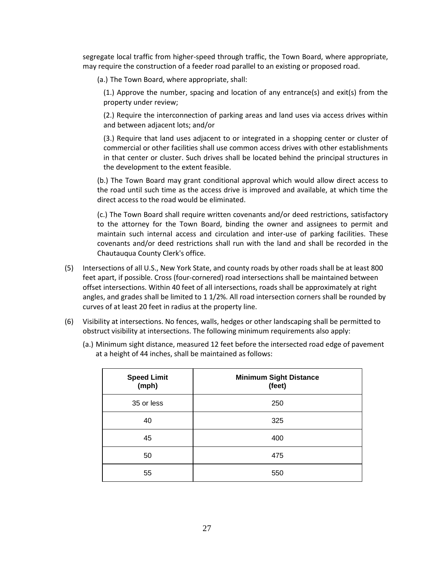segregate local traffic from higher-speed through traffic, the Town Board, where appropriate, may require the construction of a feeder road parallel to an existing or proposed road.

(a.) The Town Board, where appropriate, shall:

(1.) Approve the number, spacing and location of any entrance(s) and exit(s) from the property under review;

(2.) Require the interconnection of parking areas and land uses via access drives within and between adjacent lots; and/or

(3.) Require that land uses adjacent to or integrated in a shopping center or cluster of commercial or other facilities shall use common access drives with other establishments in that center or cluster. Such drives shall be located behind the principal structures in the development to the extent feasible.

(b.) The Town Board may grant conditional approval which would allow direct access to the road until such time as the access drive is improved and available, at which time the direct access to the road would be eliminated.

(c.) The Town Board shall require written covenants and/or deed restrictions, satisfactory to the attorney for the Town Board, binding the owner and assignees to permit and maintain such internal access and circulation and inter-use of parking facilities. These covenants and/or deed restrictions shall run with the land and shall be recorded in the Chautauqua County Clerk's office.

- (5) Intersections of all U.S., New York State, and county roads by other roads shall be at least 800 feet apart, if possible. Cross (four-cornered) road intersections shall be maintained between offset intersections. Within 40 feet of all intersections, roads shall be approximately at right angles, and grades shall be limited to 1 1/2%. All road intersection corners shall be rounded by curves of at least 20 feet in radius at the property line.
- (6) Visibility at intersections. No fences, walls, hedges or other landscaping shall be permitted to obstruct visibility at intersections. The following minimum requirements also apply:

| Speed Limit<br>(mph) | <b>Minimum Sight Distance</b><br>(feet) |
|----------------------|-----------------------------------------|
| 35 or less           | 250                                     |
| 40                   | 325                                     |
| 45                   | 400                                     |

(a.) Minimum sight distance, measured 12 feet before the intersected road edge of pavement at a height of 44 inches, shall be maintained as follows:

50 475

55 550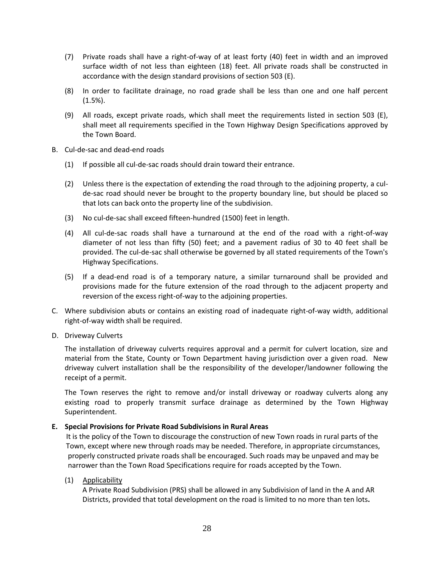- (7) Private roads shall have a right-of-way of at least forty (40) feet in width and an improved surface width of not less than eighteen (18) feet. All private roads shall be constructed in accordance with the design standard provisions of section 503 (E).
- (8) In order to facilitate drainage, no road grade shall be less than one and one half percent (1.5%).
- (9) All roads, except private roads, which shall meet the requirements listed in section 503 (E), shall meet all requirements specified in the Town Highway Design Specifications approved by the Town Board.
- B. Cul-de-sac and dead-end roads
	- (1) If possible all cul-de-sac roads should drain toward their entrance.
	- (2) Unless there is the expectation of extending the road through to the adjoining property, a culde-sac road should never be brought to the property boundary line, but should be placed so that lots can back onto the property line of the subdivision.
	- (3) No cul-de-sac shall exceed fifteen-hundred (1500) feet in length.
	- (4) All cul-de-sac roads shall have a turnaround at the end of the road with a right-of-way diameter of not less than fifty (50) feet; and a pavement radius of 30 to 40 feet shall be provided. The cul-de-sac shall otherwise be governed by all stated requirements of the Town's Highway Specifications.
	- (5) If a dead-end road is of a temporary nature, a similar turnaround shall be provided and provisions made for the future extension of the road through to the adjacent property and reversion of the excess right-of-way to the adjoining properties.
- C. Where subdivision abuts or contains an existing road of inadequate right-of-way width, additional right-of-way width shall be required.
- D. Driveway Culverts

The installation of driveway culverts requires approval and a permit for culvert location, size and material from the State, County or Town Department having jurisdiction over a given road. New driveway culvert installation shall be the responsibility of the developer/landowner following the receipt of a permit.

The Town reserves the right to remove and/or install driveway or roadway culverts along any existing road to properly transmit surface drainage as determined by the Town Highway Superintendent.

## **E. Special Provisions for Private Road Subdivisions in Rural Areas**

 It is the policy of the Town to discourage the construction of new Town roads in rural parts of the Town, except where new through roads may be needed. Therefore, in appropriate circumstances, properly constructed private roads shall be encouraged. Such roads may be unpaved and may be narrower than the Town Road Specifications require for roads accepted by the Town.

## (1) Applicability

A Private Road Subdivision (PRS) shall be allowed in any Subdivision of land in the A and AR Districts, provided that total development on the road is limited to no more than ten lots**.**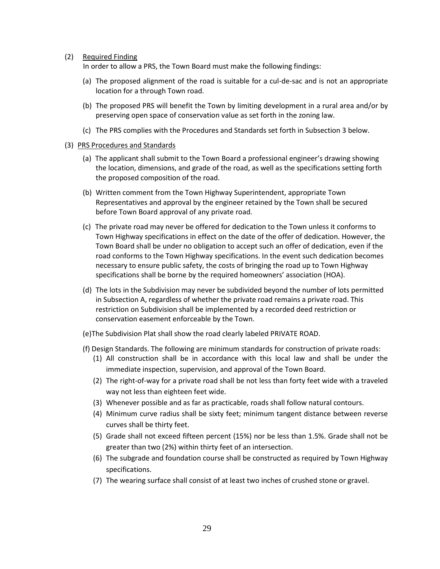(2) Required Finding

In order to allow a PRS, the Town Board must make the following findings:

- (a) The proposed alignment of the road is suitable for a cul-de-sac and is not an appropriate location for a through Town road.
- (b) The proposed PRS will benefit the Town by limiting development in a rural area and/or by preserving open space of conservation value as set forth in the zoning law.
- (c) The PRS complies with the Procedures and Standards set forth in Subsection 3 below.
- (3) PRS Procedures and Standards
	- (a) The applicant shall submit to the Town Board a professional engineer's drawing showing the location, dimensions, and grade of the road, as well as the specifications setting forth the proposed composition of the road.
	- (b) Written comment from the Town Highway Superintendent, appropriate Town Representatives and approval by the engineer retained by the Town shall be secured before Town Board approval of any private road.
	- (c) The private road may never be offered for dedication to the Town unless it conforms to Town Highway specifications in effect on the date of the offer of dedication. However, the Town Board shall be under no obligation to accept such an offer of dedication, even if the road conforms to the Town Highway specifications. In the event such dedication becomes necessary to ensure public safety, the costs of bringing the road up to Town Highway specifications shall be borne by the required homeowners' association (HOA).
	- (d) The lots in the Subdivision may never be subdivided beyond the number of lots permitted in Subsection A, regardless of whether the private road remains a private road. This restriction on Subdivision shall be implemented by a recorded deed restriction or conservation easement enforceable by the Town.
	- (e)The Subdivision Plat shall show the road clearly labeled PRIVATE ROAD.
	- (f) Design Standards. The following are minimum standards for construction of private roads:
		- (1) All construction shall be in accordance with this local law and shall be under the immediate inspection, supervision, and approval of the Town Board.
		- (2) The right-of-way for a private road shall be not less than forty feet wide with a traveled way not less than eighteen feet wide.
		- (3) Whenever possible and as far as practicable, roads shall follow natural contours.
		- (4) Minimum curve radius shall be sixty feet; minimum tangent distance between reverse curves shall be thirty feet.
		- (5) Grade shall not exceed fifteen percent (15%) nor be less than 1.5%. Grade shall not be greater than two (2%) within thirty feet of an intersection.
		- (6) The subgrade and foundation course shall be constructed as required by Town Highway specifications.
		- (7) The wearing surface shall consist of at least two inches of crushed stone or gravel.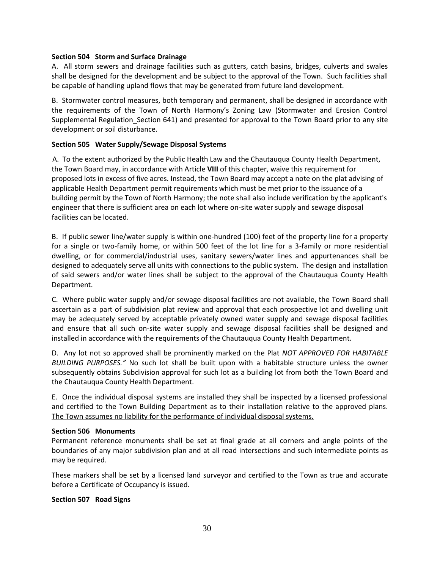#### **Section 504 Storm and Surface Drainage**

A. All storm sewers and drainage facilities such as gutters, catch basins, bridges, culverts and swales shall be designed for the development and be subject to the approval of the Town. Such facilities shall be capable of handling upland flows that may be generated from future land development.

B. Stormwater control measures, both temporary and permanent, shall be designed in accordance with the requirements of the Town of North Harmony's Zoning Law (Stormwater and Erosion Control Supplemental Regulation\_Section 641) and presented for approval to the Town Board prior to any site development or soil disturbance.

## **Section 505 Water Supply/Sewage Disposal Systems**

 A. To the extent authorized by the Public Health Law and the Chautauqua County Health Department, the Town Board may, in accordance with Article **VIII** of this chapter, waive this requirement for proposed lots in excess of five acres. Instead, the Town Board may accept a note on the plat advising of applicable Health Department permit requirements which must be met prior to the issuance of a building permit by the Town of North Harmony; the note shall also include verification by the applicant's engineer that there is sufficient area on each lot where on-site water supply and sewage disposal facilities can be located.

B. If public sewer line/water supply is within one-hundred (100) feet of the property line for a property for a single or two-family home, or within 500 feet of the lot line for a 3-family or more residential dwelling, or for commercial/industrial uses, sanitary sewers/water lines and appurtenances shall be designed to adequately serve all units with connections to the public system. The design and installation of said sewers and/or water lines shall be subject to the approval of the Chautauqua County Health Department.

C. Where public water supply and/or sewage disposal facilities are not available, the Town Board shall ascertain as a part of subdivision plat review and approval that each prospective lot and dwelling unit may be adequately served by acceptable privately owned water supply and sewage disposal facilities and ensure that all such on-site water supply and sewage disposal facilities shall be designed and installed in accordance with the requirements of the Chautauqua County Health Department.

D. Any lot not so approved shall be prominently marked on the Plat *NOT APPROVED FOR HABITABLE BUILDING PURPOSES."* No such lot shall be built upon with a habitable structure unless the owner subsequently obtains Subdivision approval for such lot as a building lot from both the Town Board and the Chautauqua County Health Department.

E. Once the individual disposal systems are installed they shall be inspected by a licensed professional and certified to the Town Building Department as to their installation relative to the approved plans. The Town assumes no liability for the performance of individual disposal systems.

## **Section 506 Monuments**

Permanent reference monuments shall be set at final grade at all corners and angle points of the boundaries of any major subdivision plan and at all road intersections and such intermediate points as may be required.

These markers shall be set by a licensed land surveyor and certified to the Town as true and accurate before a Certificate of Occupancy is issued.

## **Section 507 Road Signs**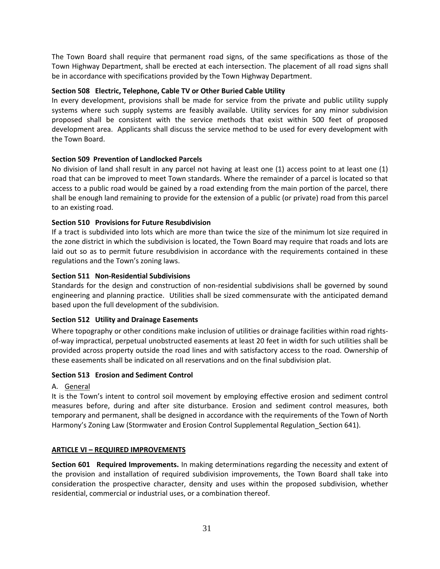The Town Board shall require that permanent road signs, of the same specifications as those of the Town Highway Department, shall be erected at each intersection. The placement of all road signs shall be in accordance with specifications provided by the Town Highway Department.

## **Section 508 Electric, Telephone, Cable TV or Other Buried Cable Utility**

In every development, provisions shall be made for service from the private and public utility supply systems where such supply systems are feasibly available. Utility services for any minor subdivision proposed shall be consistent with the service methods that exist within 500 feet of proposed development area. Applicants shall discuss the service method to be used for every development with the Town Board.

## **Section 509 Prevention of Landlocked Parcels**

No division of land shall result in any parcel not having at least one (1) access point to at least one (1) road that can be improved to meet Town standards. Where the remainder of a parcel is located so that access to a public road would be gained by a road extending from the main portion of the parcel, there shall be enough land remaining to provide for the extension of a public (or private) road from this parcel to an existing road.

## **Section 510 Provisions for Future Resubdivision**

If a tract is subdivided into lots which are more than twice the size of the minimum lot size required in the zone district in which the subdivision is located, the Town Board may require that roads and lots are laid out so as to permit future resubdivision in accordance with the requirements contained in these regulations and the Town's zoning laws.

## **Section 511 Non-Residential Subdivisions**

Standards for the design and construction of non-residential subdivisions shall be governed by sound engineering and planning practice. Utilities shall be sized commensurate with the anticipated demand based upon the full development of the subdivision.

## **Section 512 Utility and Drainage Easements**

Where topography or other conditions make inclusion of utilities or drainage facilities within road rightsof-way impractical, perpetual unobstructed easements at least 20 feet in width for such utilities shall be provided across property outside the road lines and with satisfactory access to the road. Ownership of these easements shall be indicated on all reservations and on the final subdivision plat.

## **Section 513 Erosion and Sediment Control**

## A. General

It is the Town's intent to control soil movement by employing effective erosion and sediment control measures before, during and after site disturbance. Erosion and sediment control measures, both temporary and permanent, shall be designed in accordance with the requirements of the Town of North Harmony's Zoning Law (Stormwater and Erosion Control Supplemental Regulation\_Section 641).

## **ARTICLE VI – REQUIRED IMPROVEMENTS**

**Section 601 Required Improvements.** In making determinations regarding the necessity and extent of the provision and installation of required subdivision improvements, the Town Board shall take into consideration the prospective character, density and uses within the proposed subdivision, whether residential, commercial or industrial uses, or a combination thereof.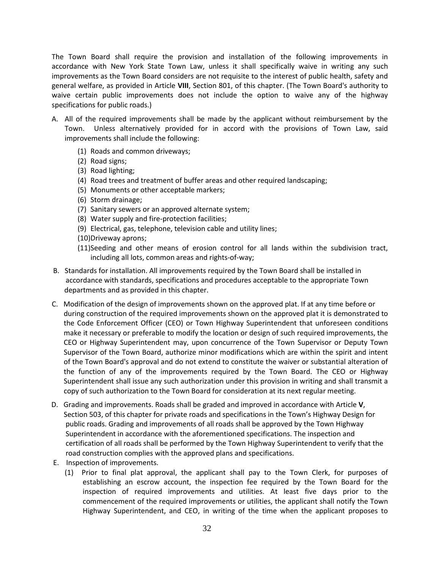The Town Board shall require the provision and installation of the following improvements in accordance with New York State Town Law, unless it shall specifically waive in writing any such improvements as the Town Board considers are not requisite to the interest of public health, safety and general welfare, as provided in Article **VIII**, Section 801, of this chapter. (The Town Board's authority to waive certain public improvements does not include the option to waive any of the highway specifications for public roads.)

- A. All of the required improvements shall be made by the applicant without reimbursement by the Town. Unless alternatively provided for in accord with the provisions of Town Law, said improvements shall include the following:
	- (1) Roads and common driveways;
	- (2) Road signs;
	- (3) Road lighting;
	- (4) Road trees and treatment of buffer areas and other required landscaping;
	- (5) Monuments or other acceptable markers;
	- (6) Storm drainage;
	- (7) Sanitary sewers or an approved alternate system;
	- (8) Water supply and fire-protection facilities;
	- (9) Electrical, gas, telephone, television cable and utility lines;
	- (10)Driveway aprons;
	- (11)Seeding and other means of erosion control for all lands within the subdivision tract, including all lots, common areas and rights-of-way;
- B. Standards for installation. All improvements required by the Town Board shall be installed in accordance with standards, specifications and procedures acceptable to the appropriate Town departments and as provided in this chapter.
- C. Modification of the design of improvements shown on the approved plat. If at any time before or during construction of the required improvements shown on the approved plat it is demonstrated to the Code Enforcement Officer (CEO) or Town Highway Superintendent that unforeseen conditions make it necessary or preferable to modify the location or design of such required improvements, the CEO or Highway Superintendent may, upon concurrence of the Town Supervisor or Deputy Town Supervisor of the Town Board, authorize minor modifications which are within the spirit and intent of the Town Board's approval and do not extend to constitute the waiver or substantial alteration of the function of any of the improvements required by the Town Board. The CEO or Highway Superintendent shall issue any such authorization under this provision in writing and shall transmit a copy of such authorization to the Town Board for consideration at its next regular meeting.
- D. Grading and improvements. Roads shall be graded and improved in accordance with Article **V**, Section 503, of this chapter for private roads and specifications in the Town's Highway Design for public roads. Grading and improvements of all roads shall be approved by the Town Highway Superintendent in accordance with the aforementioned specifications. The inspection and certification of all roads shall be performed by the Town Highway Superintendent to verify that the road construction complies with the approved plans and specifications.
- E. Inspection of improvements.
	- (1) Prior to final plat approval, the applicant shall pay to the Town Clerk, for purposes of establishing an escrow account, the inspection fee required by the Town Board for the inspection of required improvements and utilities. At least five days prior to the commencement of the required improvements or utilities, the applicant shall notify the Town Highway Superintendent, and CEO, in writing of the time when the applicant proposes to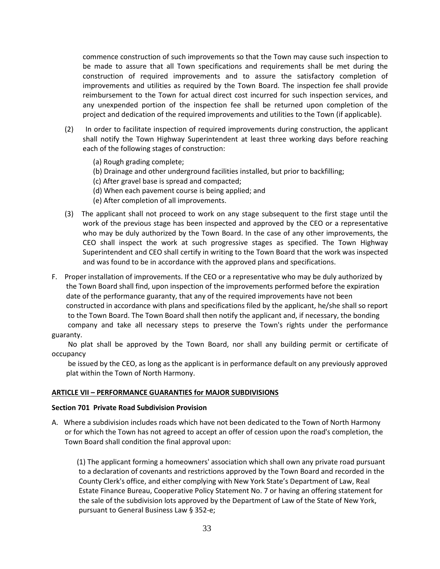commence construction of such improvements so that the Town may cause such inspection to be made to assure that all Town specifications and requirements shall be met during the construction of required improvements and to assure the satisfactory completion of improvements and utilities as required by the Town Board. The inspection fee shall provide reimbursement to the Town for actual direct cost incurred for such inspection services, and any unexpended portion of the inspection fee shall be returned upon completion of the project and dedication of the required improvements and utilities to the Town (if applicable).

- (2) In order to facilitate inspection of required improvements during construction, the applicant shall notify the Town Highway Superintendent at least three working days before reaching each of the following stages of construction:
	- (a) Rough grading complete;
	- (b) Drainage and other underground facilities installed, but prior to backfilling;
	- (c) After gravel base is spread and compacted;
	- (d) When each pavement course is being applied; and
	- (e) After completion of all improvements.
- (3) The applicant shall not proceed to work on any stage subsequent to the first stage until the work of the previous stage has been inspected and approved by the CEO or a representative who may be duly authorized by the Town Board. In the case of any other improvements, the CEO shall inspect the work at such progressive stages as specified. The Town Highway Superintendent and CEO shall certify in writing to the Town Board that the work was inspected and was found to be in accordance with the approved plans and specifications.
- F. Proper installation of improvements. If the CEO or a representative who may be duly authorized by the Town Board shall find, upon inspection of the improvements performed before the expiration date of the performance guaranty, that any of the required improvements have not been constructed in accordance with plans and specifications filed by the applicant, he/she shall so report to the Town Board. The Town Board shall then notify the applicant and, if necessary, the bonding company and take all necessary steps to preserve the Town's rights under the performance guaranty.

 No plat shall be approved by the Town Board, nor shall any building permit or certificate of occupancy

 be issued by the CEO, as long as the applicant is in performance default on any previously approved plat within the Town of North Harmony.

#### **ARTICLE VII – PERFORMANCE GUARANTIES for MAJOR SUBDIVISIONS**

#### **Section 701 Private Road Subdivision Provision**

A. Where a subdivision includes roads which have not been dedicated to the Town of North Harmony or for which the Town has not agreed to accept an offer of cession upon the road's completion, the Town Board shall condition the final approval upon:

 (1) The applicant forming a homeowners' association which shall own any private road pursuant to a declaration of covenants and restrictions approved by the Town Board and recorded in the County Clerk's office, and either complying with New York State's Department of Law, Real Estate Finance Bureau, Cooperative Policy Statement No. 7 or having an offering statement for the sale of the subdivision lots approved by the Department of Law of the State of New York, pursuant to General Business Law § 352-e;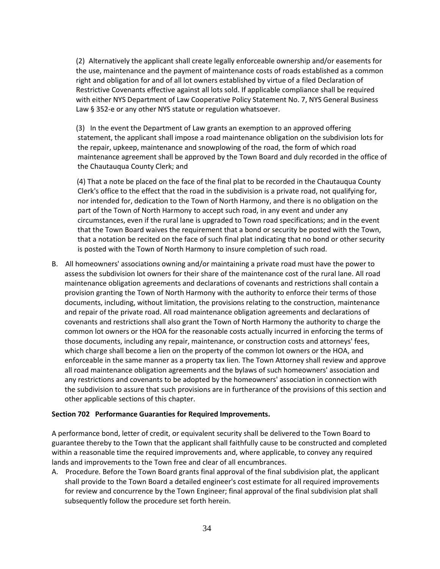(2) Alternatively the applicant shall create legally enforceable ownership and/or easements for the use, maintenance and the payment of maintenance costs of roads established as a common right and obligation for and of all lot owners established by virtue of a filed Declaration of Restrictive Covenants effective against all lots sold. If applicable compliance shall be required with either NYS Department of Law Cooperative Policy Statement No. 7, NYS General Business Law § 352-e or any other NYS statute or regulation whatsoever.

(3) In the event the Department of Law grants an exemption to an approved offering statement, the applicant shall impose a road maintenance obligation on the subdivision lots for the repair, upkeep, maintenance and snowplowing of the road, the form of which road maintenance agreement shall be approved by the Town Board and duly recorded in the office of the Chautauqua County Clerk; and

 (4) That a note be placed on the face of the final plat to be recorded in the Chautauqua County Clerk's office to the effect that the road in the subdivision is a private road, not qualifying for, nor intended for, dedication to the Town of North Harmony, and there is no obligation on the part of the Town of North Harmony to accept such road, in any event and under any circumstances, even if the rural lane is upgraded to Town road specifications; and in the event that the Town Board waives the requirement that a bond or security be posted with the Town, that a notation be recited on the face of such final plat indicating that no bond or other security is posted with the Town of North Harmony to insure completion of such road.

B. All homeowners' associations owning and/or maintaining a private road must have the power to assess the subdivision lot owners for their share of the maintenance cost of the rural lane. All road maintenance obligation agreements and declarations of covenants and restrictions shall contain a provision granting the Town of North Harmony with the authority to enforce their terms of those documents, including, without limitation, the provisions relating to the construction, maintenance and repair of the private road. All road maintenance obligation agreements and declarations of covenants and restrictions shall also grant the Town of North Harmony the authority to charge the common lot owners or the HOA for the reasonable costs actually incurred in enforcing the terms of those documents, including any repair, maintenance, or construction costs and attorneys' fees, which charge shall become a lien on the property of the common lot owners or the HOA, and enforceable in the same manner as a property tax lien. The Town Attorney shall review and approve all road maintenance obligation agreements and the bylaws of such homeowners' association and any restrictions and covenants to be adopted by the homeowners' association in connection with the subdivision to assure that such provisions are in furtherance of the provisions of this section and other applicable sections of this chapter.

## **Section 702 Performance Guaranties for Required Improvements.**

A performance bond, letter of credit, or equivalent security shall be delivered to the Town Board to guarantee thereby to the Town that the applicant shall faithfully cause to be constructed and completed within a reasonable time the required improvements and, where applicable, to convey any required lands and improvements to the Town free and clear of all encumbrances.

A. Procedure. Before the Town Board grants final approval of the final subdivision plat, the applicant shall provide to the Town Board a detailed engineer's cost estimate for all required improvements for review and concurrence by the Town Engineer; final approval of the final subdivision plat shall subsequently follow the procedure set forth herein.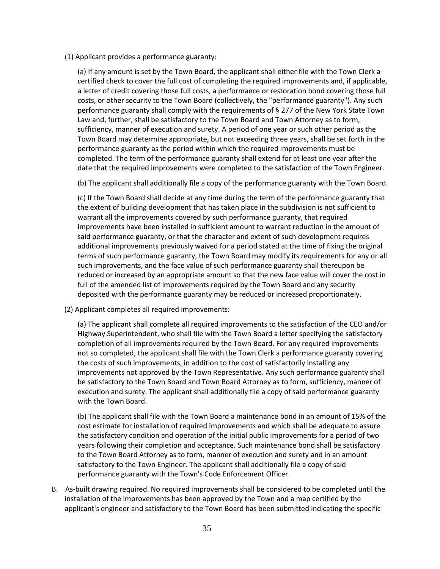(1) Applicant provides a performance guaranty:

(a) If any amount is set by the Town Board, the applicant shall either file with the Town Clerk a certified check to cover the full cost of completing the required improvements and, if applicable, a letter of credit covering those full costs, a performance or restoration bond covering those full costs, or other security to the Town Board (collectively, the "performance guaranty"). Any such performance guaranty shall comply with the requirements of § 277 of the New York State Town Law and, further, shall be satisfactory to the Town Board and Town Attorney as to form, sufficiency, manner of execution and surety. A period of one year or such other period as the Town Board may determine appropriate, but not exceeding three years, shall be set forth in the performance guaranty as the period within which the required improvements must be completed. The term of the performance guaranty shall extend for at least one year after the date that the required improvements were completed to the satisfaction of the Town Engineer.

(b) The applicant shall additionally file a copy of the performance guaranty with the Town Board.

(c) If the Town Board shall decide at any time during the term of the performance guaranty that the extent of building development that has taken place in the subdivision is not sufficient to warrant all the improvements covered by such performance guaranty, that required improvements have been installed in sufficient amount to warrant reduction in the amount of said performance guaranty, or that the character and extent of such development requires additional improvements previously waived for a period stated at the time of fixing the original terms of such performance guaranty, the Town Board may modify its requirements for any or all such improvements, and the face value of such performance guaranty shall thereupon be reduced or increased by an appropriate amount so that the new face value will cover the cost in full of the amended list of improvements required by the Town Board and any security deposited with the performance guaranty may be reduced or increased proportionately.

(2) Applicant completes all required improvements:

(a) The applicant shall complete all required improvements to the satisfaction of the CEO and/or Highway Superintendent, who shall file with the Town Board a letter specifying the satisfactory completion of all improvements required by the Town Board. For any required improvements not so completed, the applicant shall file with the Town Clerk a performance guaranty covering the costs of such improvements, in addition to the cost of satisfactorily installing any improvements not approved by the Town Representative. Any such performance guaranty shall be satisfactory to the Town Board and Town Board Attorney as to form, sufficiency, manner of execution and surety. The applicant shall additionally file a copy of said performance guaranty with the Town Board.

(b) The applicant shall file with the Town Board a maintenance bond in an amount of 15% of the cost estimate for installation of required improvements and which shall be adequate to assure the satisfactory condition and operation of the initial public improvements for a period of two years following their completion and acceptance. Such maintenance bond shall be satisfactory to the Town Board Attorney as to form, manner of execution and surety and in an amount satisfactory to the Town Engineer. The applicant shall additionally file a copy of said performance guaranty with the Town's Code Enforcement Officer.

B. As-built drawing required. No required improvements shall be considered to be completed until the installation of the improvements has been approved by the Town and a map certified by the applicant's engineer and satisfactory to the Town Board has been submitted indicating the specific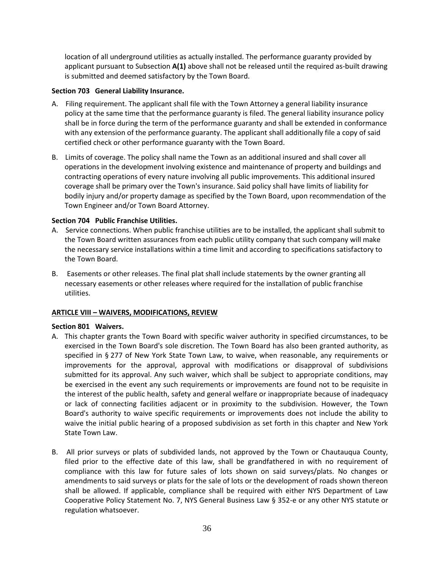location of all underground utilities as actually installed. The performance guaranty provided by applicant pursuant to Subsection **A(1)** above shall not be released until the required as-built drawing is submitted and deemed satisfactory by the Town Board.

## **Section 703 General Liability Insurance.**

- A. Filing requirement. The applicant shall file with the Town Attorney a general liability insurance policy at the same time that the performance guaranty is filed. The general liability insurance policy shall be in force during the term of the performance guaranty and shall be extended in conformance with any extension of the performance guaranty. The applicant shall additionally file a copy of said certified check or other performance guaranty with the Town Board.
- B. Limits of coverage. The policy shall name the Town as an additional insured and shall cover all operations in the development involving existence and maintenance of property and buildings and contracting operations of every nature involving all public improvements. This additional insured coverage shall be primary over the Town's insurance. Said policy shall have limits of liability for bodily injury and/or property damage as specified by the Town Board, upon recommendation of the Town Engineer and/or Town Board Attorney.

## **Section 704 Public Franchise Utilities.**

- A. Service connections. When public franchise utilities are to be installed, the applicant shall submit to the Town Board written assurances from each public utility company that such company will make the necessary service installations within a time limit and according to specifications satisfactory to the Town Board.
- B. Easements or other releases. The final plat shall include statements by the owner granting all necessary easements or other releases where required for the installation of public franchise utilities.

## **ARTICLE VIII – WAIVERS, MODIFICATIONS, REVIEW**

## **Section 801 Waivers.**

- A. This chapter grants the Town Board with specific waiver authority in specified circumstances, to be exercised in the Town Board's sole discretion. The Town Board has also been granted authority, as specified in § 277 of New York State Town Law, to waive, when reasonable, any requirements or improvements for the approval, approval with modifications or disapproval of subdivisions submitted for its approval. Any such waiver, which shall be subject to appropriate conditions, may be exercised in the event any such requirements or improvements are found not to be requisite in the interest of the public health, safety and general welfare or inappropriate because of inadequacy or lack of connecting facilities adjacent or in proximity to the subdivision. However, the Town Board's authority to waive specific requirements or improvements does not include the ability to waive the initial public hearing of a proposed subdivision as set forth in this chapter and New York State Town Law.
- B. All prior surveys or plats of subdivided lands, not approved by the Town or Chautauqua County, filed prior to the effective date of this law, shall be grandfathered in with no requirement of compliance with this law for future sales of lots shown on said surveys/plats. No changes or amendments to said surveys or plats for the sale of lots or the development of roads shown thereon shall be allowed. If applicable, compliance shall be required with either NYS Department of Law Cooperative Policy Statement No. 7, NYS General Business Law § 352-e or any other NYS statute or regulation whatsoever.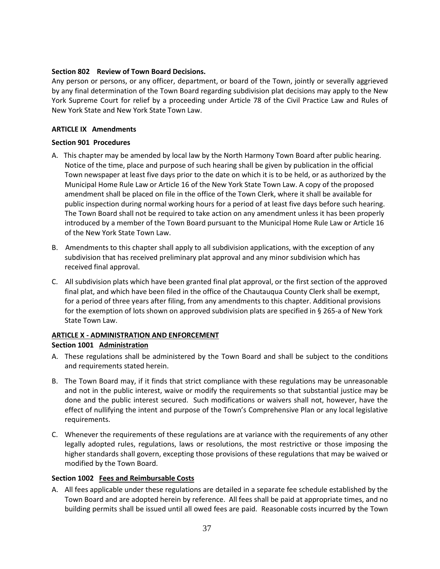## **Section 802 Review of Town Board Decisions.**

Any person or persons, or any officer, department, or board of the Town, jointly or severally aggrieved by any final determination of the Town Board regarding subdivision plat decisions may apply to the New York Supreme Court for relief by a proceeding under Article 78 of the Civil Practice Law and Rules of New York State and New York State Town Law.

## **ARTICLE IX Amendments**

## **Section 901 Procedures**

- A. This chapter may be amended by local law by the North Harmony Town Board after public hearing. Notice of the time, place and purpose of such hearing shall be given by publication in the official Town newspaper at least five days prior to the date on which it is to be held, or as authorized by the Municipal Home Rule Law or Article 16 of the New York State Town Law. A copy of the proposed amendment shall be placed on file in the office of the Town Clerk, where it shall be available for public inspection during normal working hours for a period of at least five days before such hearing. The Town Board shall not be required to take action on any amendment unless it has been properly introduced by a member of the Town Board pursuant to the Municipal Home Rule Law or Article 16 of the New York State Town Law.
- B. Amendments to this chapter shall apply to all subdivision applications, with the exception of any subdivision that has received preliminary plat approval and any minor subdivision which has received final approval.
- C. All subdivision plats which have been granted final plat approval, or the first section of the approved final plat, and which have been filed in the office of the Chautauqua County Clerk shall be exempt, for a period of three years after filing, from any amendments to this chapter. Additional provisions for the exemption of lots shown on approved subdivision plats are specified in § 265-a of New York State Town Law.

## **ARTICLE X - ADMINISTRATION AND ENFORCEMENT**

## **Section 1001 Administration**

- A. These regulations shall be administered by the Town Board and shall be subject to the conditions and requirements stated herein.
- B. The Town Board may, if it finds that strict compliance with these regulations may be unreasonable and not in the public interest, waive or modify the requirements so that substantial justice may be done and the public interest secured. Such modifications or waivers shall not, however, have the effect of nullifying the intent and purpose of the Town's Comprehensive Plan or any local legislative requirements.
- C. Whenever the requirements of these regulations are at variance with the requirements of any other legally adopted rules, regulations, laws or resolutions, the most restrictive or those imposing the higher standards shall govern, excepting those provisions of these regulations that may be waived or modified by the Town Board.

## **Section 1002 Fees and Reimbursable Costs**

A. All fees applicable under these regulations are detailed in a separate fee schedule established by the Town Board and are adopted herein by reference. All fees shall be paid at appropriate times, and no building permits shall be issued until all owed fees are paid. Reasonable costs incurred by the Town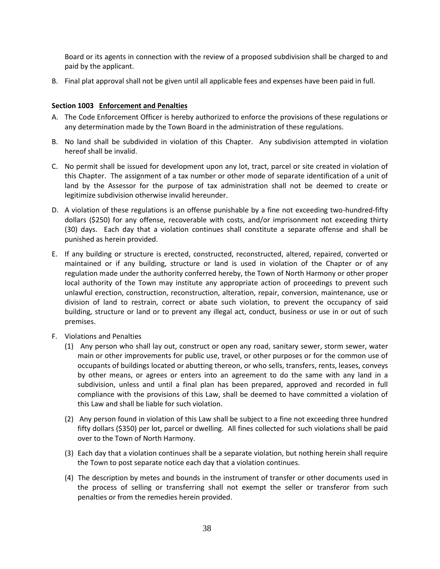Board or its agents in connection with the review of a proposed subdivision shall be charged to and paid by the applicant.

B. Final plat approval shall not be given until all applicable fees and expenses have been paid in full.

## **Section 1003 Enforcement and Penalties**

- A. The Code Enforcement Officer is hereby authorized to enforce the provisions of these regulations or any determination made by the Town Board in the administration of these regulations.
- B. No land shall be subdivided in violation of this Chapter. Any subdivision attempted in violation hereof shall be invalid.
- C. No permit shall be issued for development upon any lot, tract, parcel or site created in violation of this Chapter. The assignment of a tax number or other mode of separate identification of a unit of land by the Assessor for the purpose of tax administration shall not be deemed to create or legitimize subdivision otherwise invalid hereunder.
- D. A violation of these regulations is an offense punishable by a fine not exceeding two-hundred-fifty dollars (\$250) for any offense, recoverable with costs, and/or imprisonment not exceeding thirty (30) days. Each day that a violation continues shall constitute a separate offense and shall be punished as herein provided.
- E. If any building or structure is erected, constructed, reconstructed, altered, repaired, converted or maintained or if any building, structure or land is used in violation of the Chapter or of any regulation made under the authority conferred hereby, the Town of North Harmony or other proper local authority of the Town may institute any appropriate action of proceedings to prevent such unlawful erection, construction, reconstruction, alteration, repair, conversion, maintenance, use or division of land to restrain, correct or abate such violation, to prevent the occupancy of said building, structure or land or to prevent any illegal act, conduct, business or use in or out of such premises.
- F. Violations and Penalties
	- (1) Any person who shall lay out, construct or open any road, sanitary sewer, storm sewer, water main or other improvements for public use, travel, or other purposes or for the common use of occupants of buildings located or abutting thereon, or who sells, transfers, rents, leases, conveys by other means, or agrees or enters into an agreement to do the same with any land in a subdivision, unless and until a final plan has been prepared, approved and recorded in full compliance with the provisions of this Law, shall be deemed to have committed a violation of this Law and shall be liable for such violation.
	- (2) Any person found in violation of this Law shall be subject to a fine not exceeding three hundred fifty dollars (\$350) per lot, parcel or dwelling. All fines collected for such violations shall be paid over to the Town of North Harmony.
	- (3) Each day that a violation continues shall be a separate violation, but nothing herein shall require the Town to post separate notice each day that a violation continues.
	- (4) The description by metes and bounds in the instrument of transfer or other documents used in the process of selling or transferring shall not exempt the seller or transferor from such penalties or from the remedies herein provided.